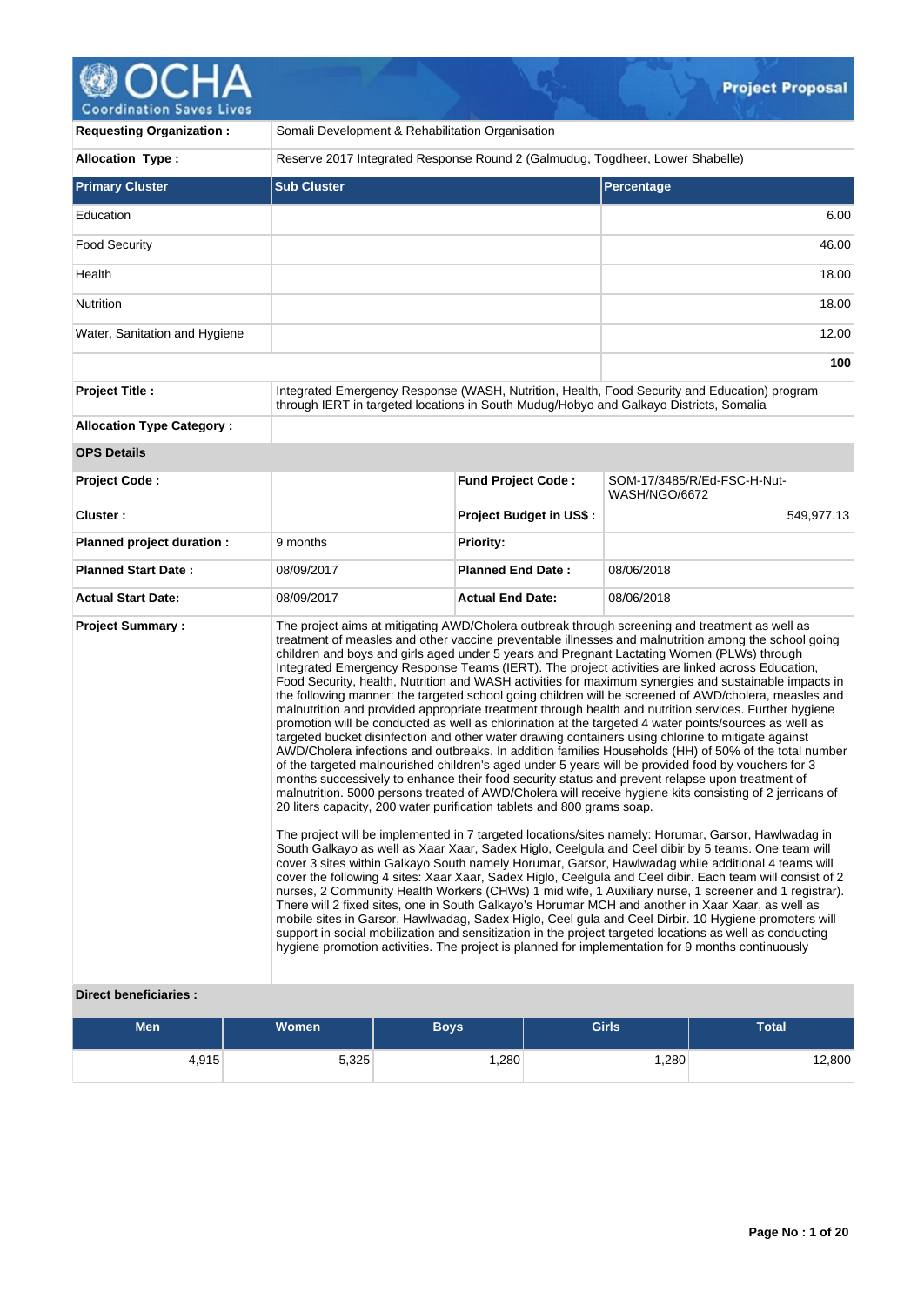# **OCHA**

| <b>Requesting Organization:</b>                         | Somali Development & Rehabilitation Organisation                                       |                                |                                                                                                                                                                                                                                                                                                                                                                                                                                                                                                                                                                                                                                                                                                                                                                                                                                                                                                                                                                                                                                                                                                                                                                                                                                                                                                                                                                                                                                                                                                                                                                                                                                                                                                                                                                                                                                                                                                                                                                                                                                                                                                                                                                                                                                                                                                                                                         |  |  |
|---------------------------------------------------------|----------------------------------------------------------------------------------------|--------------------------------|---------------------------------------------------------------------------------------------------------------------------------------------------------------------------------------------------------------------------------------------------------------------------------------------------------------------------------------------------------------------------------------------------------------------------------------------------------------------------------------------------------------------------------------------------------------------------------------------------------------------------------------------------------------------------------------------------------------------------------------------------------------------------------------------------------------------------------------------------------------------------------------------------------------------------------------------------------------------------------------------------------------------------------------------------------------------------------------------------------------------------------------------------------------------------------------------------------------------------------------------------------------------------------------------------------------------------------------------------------------------------------------------------------------------------------------------------------------------------------------------------------------------------------------------------------------------------------------------------------------------------------------------------------------------------------------------------------------------------------------------------------------------------------------------------------------------------------------------------------------------------------------------------------------------------------------------------------------------------------------------------------------------------------------------------------------------------------------------------------------------------------------------------------------------------------------------------------------------------------------------------------------------------------------------------------------------------------------------------------|--|--|
| <b>Allocation Type:</b>                                 | Reserve 2017 Integrated Response Round 2 (Galmudug, Togdheer, Lower Shabelle)          |                                |                                                                                                                                                                                                                                                                                                                                                                                                                                                                                                                                                                                                                                                                                                                                                                                                                                                                                                                                                                                                                                                                                                                                                                                                                                                                                                                                                                                                                                                                                                                                                                                                                                                                                                                                                                                                                                                                                                                                                                                                                                                                                                                                                                                                                                                                                                                                                         |  |  |
| <b>Primary Cluster</b>                                  | <b>Sub Cluster</b>                                                                     |                                | <b>Percentage</b>                                                                                                                                                                                                                                                                                                                                                                                                                                                                                                                                                                                                                                                                                                                                                                                                                                                                                                                                                                                                                                                                                                                                                                                                                                                                                                                                                                                                                                                                                                                                                                                                                                                                                                                                                                                                                                                                                                                                                                                                                                                                                                                                                                                                                                                                                                                                       |  |  |
| Education                                               |                                                                                        |                                | 6.00                                                                                                                                                                                                                                                                                                                                                                                                                                                                                                                                                                                                                                                                                                                                                                                                                                                                                                                                                                                                                                                                                                                                                                                                                                                                                                                                                                                                                                                                                                                                                                                                                                                                                                                                                                                                                                                                                                                                                                                                                                                                                                                                                                                                                                                                                                                                                    |  |  |
| <b>Food Security</b>                                    |                                                                                        |                                | 46.00                                                                                                                                                                                                                                                                                                                                                                                                                                                                                                                                                                                                                                                                                                                                                                                                                                                                                                                                                                                                                                                                                                                                                                                                                                                                                                                                                                                                                                                                                                                                                                                                                                                                                                                                                                                                                                                                                                                                                                                                                                                                                                                                                                                                                                                                                                                                                   |  |  |
| Health                                                  |                                                                                        |                                | 18.00                                                                                                                                                                                                                                                                                                                                                                                                                                                                                                                                                                                                                                                                                                                                                                                                                                                                                                                                                                                                                                                                                                                                                                                                                                                                                                                                                                                                                                                                                                                                                                                                                                                                                                                                                                                                                                                                                                                                                                                                                                                                                                                                                                                                                                                                                                                                                   |  |  |
| Nutrition                                               |                                                                                        |                                | 18.00                                                                                                                                                                                                                                                                                                                                                                                                                                                                                                                                                                                                                                                                                                                                                                                                                                                                                                                                                                                                                                                                                                                                                                                                                                                                                                                                                                                                                                                                                                                                                                                                                                                                                                                                                                                                                                                                                                                                                                                                                                                                                                                                                                                                                                                                                                                                                   |  |  |
| Water, Sanitation and Hygiene                           |                                                                                        |                                | 12.00                                                                                                                                                                                                                                                                                                                                                                                                                                                                                                                                                                                                                                                                                                                                                                                                                                                                                                                                                                                                                                                                                                                                                                                                                                                                                                                                                                                                                                                                                                                                                                                                                                                                                                                                                                                                                                                                                                                                                                                                                                                                                                                                                                                                                                                                                                                                                   |  |  |
|                                                         |                                                                                        |                                | 100                                                                                                                                                                                                                                                                                                                                                                                                                                                                                                                                                                                                                                                                                                                                                                                                                                                                                                                                                                                                                                                                                                                                                                                                                                                                                                                                                                                                                                                                                                                                                                                                                                                                                                                                                                                                                                                                                                                                                                                                                                                                                                                                                                                                                                                                                                                                                     |  |  |
| <b>Project Title:</b>                                   | through IERT in targeted locations in South Mudug/Hobyo and Galkayo Districts, Somalia |                                | Integrated Emergency Response (WASH, Nutrition, Health, Food Security and Education) program                                                                                                                                                                                                                                                                                                                                                                                                                                                                                                                                                                                                                                                                                                                                                                                                                                                                                                                                                                                                                                                                                                                                                                                                                                                                                                                                                                                                                                                                                                                                                                                                                                                                                                                                                                                                                                                                                                                                                                                                                                                                                                                                                                                                                                                            |  |  |
| <b>Allocation Type Category:</b>                        |                                                                                        |                                |                                                                                                                                                                                                                                                                                                                                                                                                                                                                                                                                                                                                                                                                                                                                                                                                                                                                                                                                                                                                                                                                                                                                                                                                                                                                                                                                                                                                                                                                                                                                                                                                                                                                                                                                                                                                                                                                                                                                                                                                                                                                                                                                                                                                                                                                                                                                                         |  |  |
| <b>OPS Details</b>                                      |                                                                                        |                                |                                                                                                                                                                                                                                                                                                                                                                                                                                                                                                                                                                                                                                                                                                                                                                                                                                                                                                                                                                                                                                                                                                                                                                                                                                                                                                                                                                                                                                                                                                                                                                                                                                                                                                                                                                                                                                                                                                                                                                                                                                                                                                                                                                                                                                                                                                                                                         |  |  |
| Project Code:                                           |                                                                                        | <b>Fund Project Code:</b>      | SOM-17/3485/R/Ed-FSC-H-Nut-<br><b>WASH/NGO/6672</b>                                                                                                                                                                                                                                                                                                                                                                                                                                                                                                                                                                                                                                                                                                                                                                                                                                                                                                                                                                                                                                                                                                                                                                                                                                                                                                                                                                                                                                                                                                                                                                                                                                                                                                                                                                                                                                                                                                                                                                                                                                                                                                                                                                                                                                                                                                     |  |  |
| Cluster:                                                |                                                                                        | <b>Project Budget in US\$:</b> | 549,977.13                                                                                                                                                                                                                                                                                                                                                                                                                                                                                                                                                                                                                                                                                                                                                                                                                                                                                                                                                                                                                                                                                                                                                                                                                                                                                                                                                                                                                                                                                                                                                                                                                                                                                                                                                                                                                                                                                                                                                                                                                                                                                                                                                                                                                                                                                                                                              |  |  |
| Planned project duration :                              | 9 months                                                                               | Priority:                      |                                                                                                                                                                                                                                                                                                                                                                                                                                                                                                                                                                                                                                                                                                                                                                                                                                                                                                                                                                                                                                                                                                                                                                                                                                                                                                                                                                                                                                                                                                                                                                                                                                                                                                                                                                                                                                                                                                                                                                                                                                                                                                                                                                                                                                                                                                                                                         |  |  |
| <b>Planned Start Date:</b>                              | 08/09/2017                                                                             | <b>Planned End Date:</b>       | 08/06/2018                                                                                                                                                                                                                                                                                                                                                                                                                                                                                                                                                                                                                                                                                                                                                                                                                                                                                                                                                                                                                                                                                                                                                                                                                                                                                                                                                                                                                                                                                                                                                                                                                                                                                                                                                                                                                                                                                                                                                                                                                                                                                                                                                                                                                                                                                                                                              |  |  |
| <b>Actual Start Date:</b>                               | 08/09/2017                                                                             | <b>Actual End Date:</b>        | 08/06/2018                                                                                                                                                                                                                                                                                                                                                                                                                                                                                                                                                                                                                                                                                                                                                                                                                                                                                                                                                                                                                                                                                                                                                                                                                                                                                                                                                                                                                                                                                                                                                                                                                                                                                                                                                                                                                                                                                                                                                                                                                                                                                                                                                                                                                                                                                                                                              |  |  |
| <b>Project Summary:</b><br><b>Direct beneficiaries:</b> | 20 liters capacity, 200 water purification tablets and 800 grams soap.                 |                                | The project aims at mitigating AWD/Cholera outbreak through screening and treatment as well as<br>treatment of measles and other vaccine preventable illnesses and malnutrition among the school going<br>children and boys and girls aged under 5 years and Pregnant Lactating Women (PLWs) through<br>Integrated Emergency Response Teams (IERT). The project activities are linked across Education,<br>Food Security, health, Nutrition and WASH activities for maximum synergies and sustainable impacts in<br>the following manner: the targeted school going children will be screened of AWD/cholera, measles and<br>malnutrition and provided appropriate treatment through health and nutrition services. Further hygiene<br>promotion will be conducted as well as chlorination at the targeted 4 water points/sources as well as<br>targeted bucket disinfection and other water drawing containers using chlorine to mitigate against<br>AWD/Cholera infections and outbreaks. In addition families Households (HH) of 50% of the total number<br>of the targeted malnourished children's aged under 5 years will be provided food by vouchers for 3<br>months successively to enhance their food security status and prevent relapse upon treatment of<br>malnutrition. 5000 persons treated of AWD/Cholera will receive hygiene kits consisting of 2 jerricans of<br>The project will be implemented in 7 targeted locations/sites namely: Horumar, Garsor, Hawlwadag in<br>South Galkayo as well as Xaar Xaar, Sadex Higlo, Ceelgula and Ceel dibir by 5 teams. One team will<br>cover 3 sites within Galkayo South namely Horumar, Garsor, Hawlwadag while additional 4 teams will<br>cover the following 4 sites: Xaar Xaar, Sadex Higlo, Ceelgula and Ceel dibir. Each team will consist of 2<br>nurses, 2 Community Health Workers (CHWs) 1 mid wife, 1 Auxiliary nurse, 1 screener and 1 registrar).<br>There will 2 fixed sites, one in South Galkayo's Horumar MCH and another in Xaar Xaar, as well as<br>mobile sites in Garsor, Hawlwadag, Sadex Higlo, Ceel gula and Ceel Dirbir. 10 Hygiene promoters will<br>support in social mobilization and sensitization in the project targeted locations as well as conducting<br>hygiene promotion activities. The project is planned for implementation for 9 months continuously |  |  |

| Men   | <b>Women</b> | <b>Boys</b> | <b>Girls</b> | <b>Total</b> |
|-------|--------------|-------------|--------------|--------------|
| 4,915 | 5,325        | ,280        | .280         | 12,800       |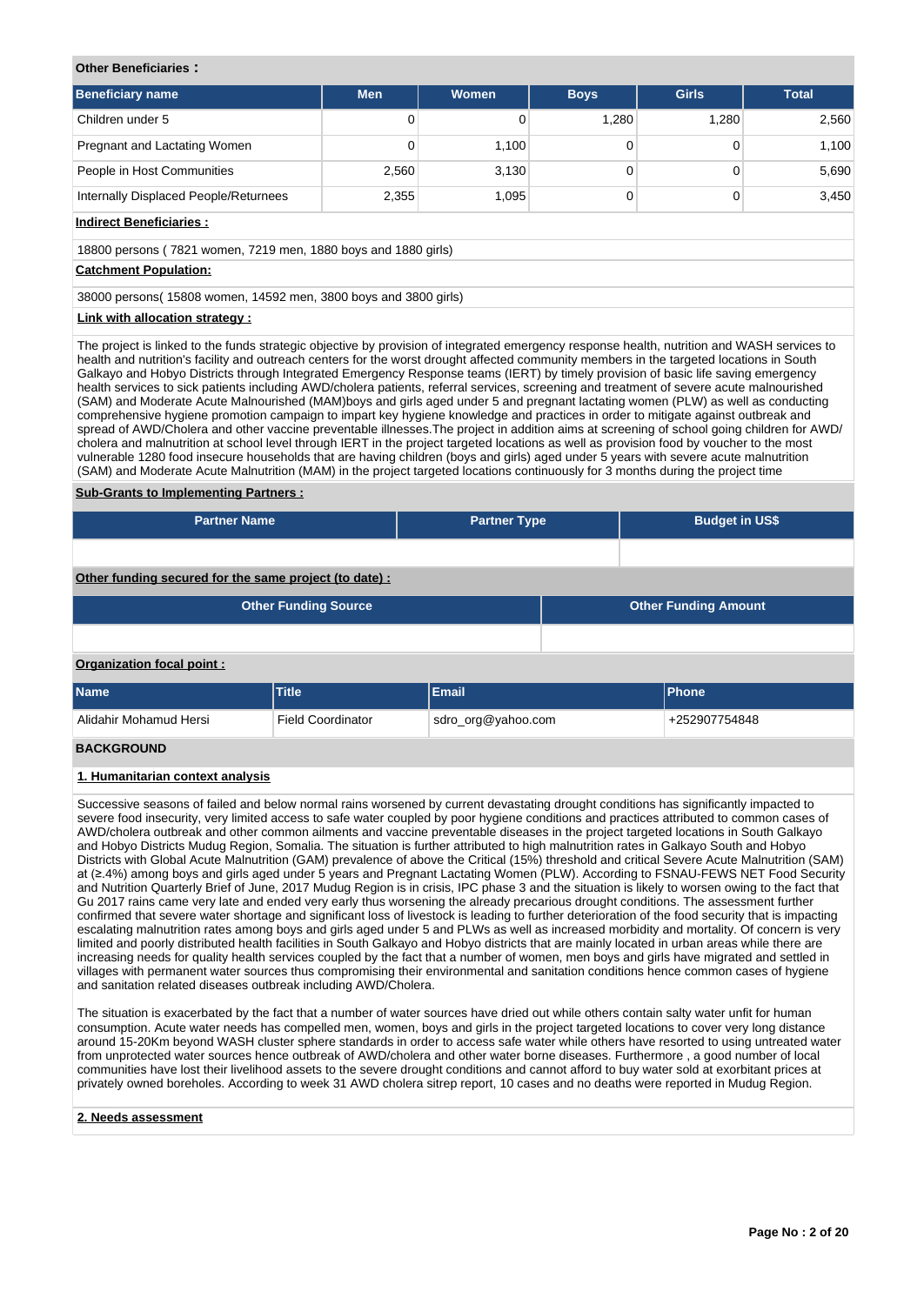# **Other Beneficiaries :**

| <b>Beneficiary name</b>               | <b>Men</b> | <b>Women</b> | <b>Boys</b> | <b>Girls</b> | <b>Total</b> |
|---------------------------------------|------------|--------------|-------------|--------------|--------------|
| Children under 5                      | 0          |              | 1.280       | 1.280        | 2,560        |
| Pregnant and Lactating Women          | 0          | 1,100        |             |              | 1,100        |
| People in Host Communities            | 2,560      | 3,130        |             |              | 5,690        |
| Internally Displaced People/Returnees | 2,355      | 1,095        |             |              | 3,450        |

# **Indirect Beneficiaries :**

18800 persons ( 7821 women, 7219 men, 1880 boys and 1880 girls)

#### **Catchment Population:**

38000 persons( 15808 women, 14592 men, 3800 boys and 3800 girls)

### **Link with allocation strategy :**

The project is linked to the funds strategic objective by provision of integrated emergency response health, nutrition and WASH services to health and nutrition's facility and outreach centers for the worst drought affected community members in the targeted locations in South Galkayo and Hobyo Districts through Integrated Emergency Response teams (IERT) by timely provision of basic life saving emergency health services to sick patients including AWD/cholera patients, referral services, screening and treatment of severe acute malnourished (SAM) and Moderate Acute Malnourished (MAM)boys and girls aged under 5 and pregnant lactating women (PLW) as well as conducting comprehensive hygiene promotion campaign to impart key hygiene knowledge and practices in order to mitigate against outbreak and spread of AWD/Cholera and other vaccine preventable illnesses.The project in addition aims at screening of school going children for AWD/ cholera and malnutrition at school level through IERT in the project targeted locations as well as provision food by voucher to the most vulnerable 1280 food insecure households that are having children (boys and girls) aged under 5 years with severe acute malnutrition (SAM) and Moderate Acute Malnutrition (MAM) in the project targeted locations continuously for 3 months during the project time

#### **Sub-Grants to Implementing Partners :**

| <b>Partner Name</b> | <b>Partner Type</b> | <b>Budget in US\$</b> |
|---------------------|---------------------|-----------------------|
|                     |                     |                       |

**Other funding secured for the same project (to date) :**

|                           | <b>Other Funding Source</b> |     | <b>Other Funding Amount</b> |
|---------------------------|-----------------------------|-----|-----------------------------|
|                           |                             |     |                             |
| Organization focal point: |                             |     |                             |
|                           | <b>Service</b>              | . . |                             |

| <b>Name</b>            | Title                    | Email              | <b>Phone</b>  |
|------------------------|--------------------------|--------------------|---------------|
| Alidahir Mohamud Hersi | <b>Field Coordinator</b> | sdro_org@yahoo.com | +252907754848 |

#### **BACKGROUND**

#### **1. Humanitarian context analysis**

Successive seasons of failed and below normal rains worsened by current devastating drought conditions has significantly impacted to severe food insecurity, very limited access to safe water coupled by poor hygiene conditions and practices attributed to common cases of AWD/cholera outbreak and other common ailments and vaccine preventable diseases in the project targeted locations in South Galkayo and Hobyo Districts Mudug Region, Somalia. The situation is further attributed to high malnutrition rates in Galkayo South and Hobyo Districts with Global Acute Malnutrition (GAM) prevalence of above the Critical (15%) threshold and critical Severe Acute Malnutrition (SAM) at (≥.4%) among boys and girls aged under 5 years and Pregnant Lactating Women (PLW). According to FSNAU-FEWS NET Food Security and Nutrition Quarterly Brief of June, 2017 Mudug Region is in crisis, IPC phase 3 and the situation is likely to worsen owing to the fact that Gu 2017 rains came very late and ended very early thus worsening the already precarious drought conditions. The assessment further confirmed that severe water shortage and significant loss of livestock is leading to further deterioration of the food security that is impacting escalating malnutrition rates among boys and girls aged under 5 and PLWs as well as increased morbidity and mortality. Of concern is very limited and poorly distributed health facilities in South Galkayo and Hobyo districts that are mainly located in urban areas while there are increasing needs for quality health services coupled by the fact that a number of women, men boys and girls have migrated and settled in villages with permanent water sources thus compromising their environmental and sanitation conditions hence common cases of hygiene and sanitation related diseases outbreak including AWD/Cholera.

The situation is exacerbated by the fact that a number of water sources have dried out while others contain salty water unfit for human consumption. Acute water needs has compelled men, women, boys and girls in the project targeted locations to cover very long distance around 15-20Km beyond WASH cluster sphere standards in order to access safe water while others have resorted to using untreated water from unprotected water sources hence outbreak of AWD/cholera and other water borne diseases. Furthermore , a good number of local communities have lost their livelihood assets to the severe drought conditions and cannot afford to buy water sold at exorbitant prices at privately owned boreholes. According to week 31 AWD cholera sitrep report, 10 cases and no deaths were reported in Mudug Region.

## **2. Needs assessment**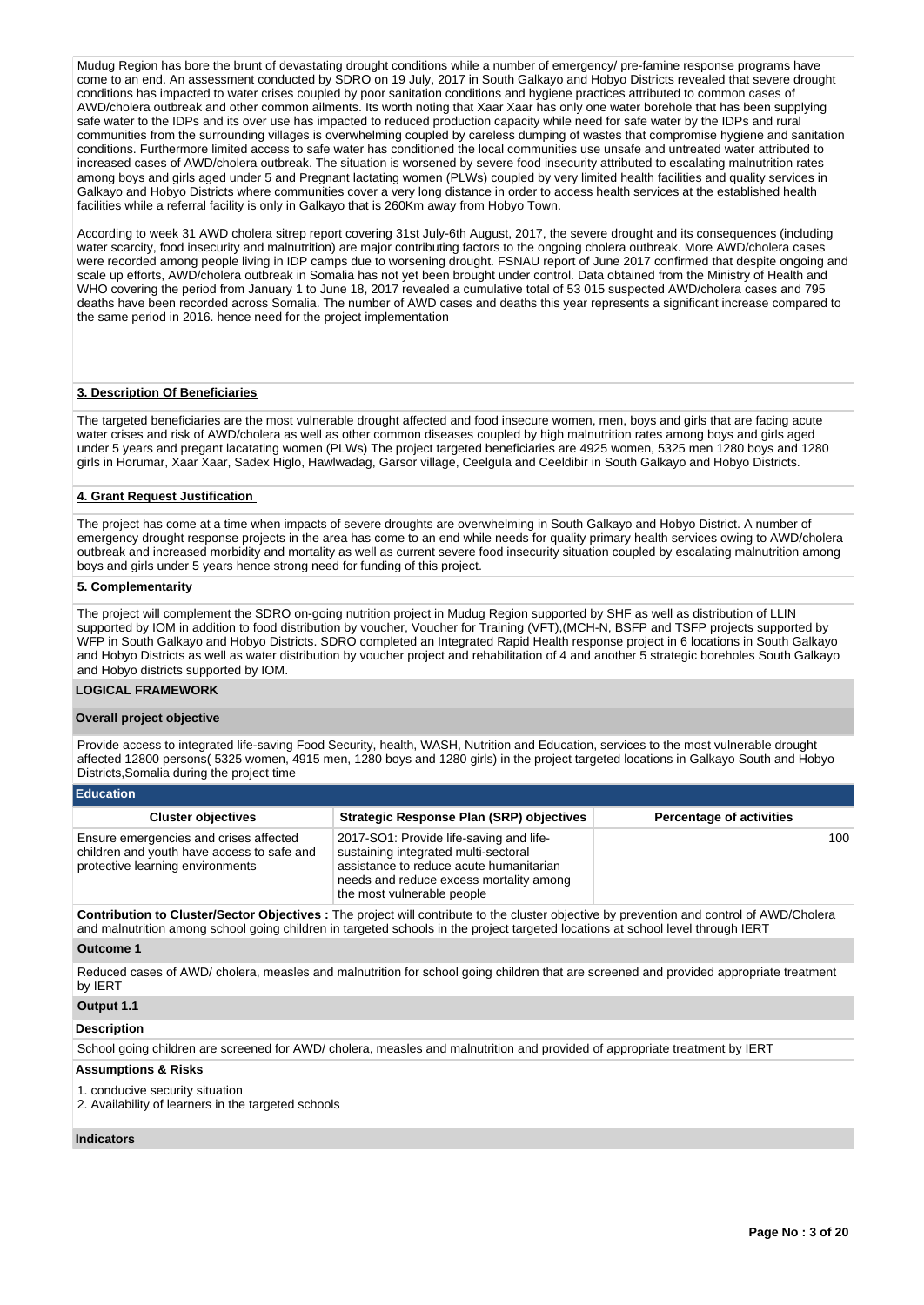Mudug Region has bore the brunt of devastating drought conditions while a number of emergency/ pre-famine response programs have come to an end. An assessment conducted by SDRO on 19 July, 2017 in South Galkayo and Hobyo Districts revealed that severe drought conditions has impacted to water crises coupled by poor sanitation conditions and hygiene practices attributed to common cases of AWD/cholera outbreak and other common ailments. Its worth noting that Xaar Xaar has only one water borehole that has been supplying safe water to the IDPs and its over use has impacted to reduced production capacity while need for safe water by the IDPs and rural communities from the surrounding villages is overwhelming coupled by careless dumping of wastes that compromise hygiene and sanitation conditions. Furthermore limited access to safe water has conditioned the local communities use unsafe and untreated water attributed to increased cases of AWD/cholera outbreak. The situation is worsened by severe food insecurity attributed to escalating malnutrition rates among boys and girls aged under 5 and Pregnant lactating women (PLWs) coupled by very limited health facilities and quality services in Galkayo and Hobyo Districts where communities cover a very long distance in order to access health services at the established health facilities while a referral facility is only in Galkayo that is 260Km away from Hobyo Town.

According to week 31 AWD cholera sitrep report covering 31st July-6th August, 2017, the severe drought and its consequences (including water scarcity, food insecurity and malnutrition) are major contributing factors to the ongoing cholera outbreak. More AWD/cholera cases were recorded among people living in IDP camps due to worsening drought. FSNAU report of June 2017 confirmed that despite ongoing and scale up efforts, AWD/cholera outbreak in Somalia has not yet been brought under control. Data obtained from the Ministry of Health and WHO covering the period from January 1 to June 18, 2017 revealed a cumulative total of 53 015 suspected AWD/cholera cases and 795 deaths have been recorded across Somalia. The number of AWD cases and deaths this year represents a significant increase compared to the same period in 2016. hence need for the project implementation

#### **3. Description Of Beneficiaries**

The targeted beneficiaries are the most vulnerable drought affected and food insecure women, men, boys and girls that are facing acute water crises and risk of AWD/cholera as well as other common diseases coupled by high malnutrition rates among boys and girls aged under 5 years and pregant lacatating women (PLWs) The project targeted beneficiaries are 4925 women, 5325 men 1280 boys and 1280 girls in Horumar, Xaar Xaar, Sadex Higlo, Hawlwadag, Garsor village, Ceelgula and Ceeldibir in South Galkayo and Hobyo Districts.

#### **4. Grant Request Justification**

The project has come at a time when impacts of severe droughts are overwhelming in South Galkayo and Hobyo District. A number of emergency drought response projects in the area has come to an end while needs for quality primary health services owing to AWD/cholera outbreak and increased morbidity and mortality as well as current severe food insecurity situation coupled by escalating malnutrition among boys and girls under 5 years hence strong need for funding of this project.

#### **5. Complementarity**

The project will complement the SDRO on-going nutrition project in Mudug Region supported by SHF as well as distribution of LLIN supported by IOM in addition to food distribution by voucher, Voucher for Training (VFT),(MCH-N, BSFP and TSFP projects supported by WFP in South Galkayo and Hobyo Districts. SDRO completed an Integrated Rapid Health response project in 6 locations in South Galkayo and Hobyo Districts as well as water distribution by voucher project and rehabilitation of 4 and another 5 strategic boreholes South Galkayo and Hobyo districts supported by IOM.

#### **LOGICAL FRAMEWORK**

#### **Overall project objective**

Provide access to integrated life-saving Food Security, health, WASH, Nutrition and Education, services to the most vulnerable drought affected 12800 persons( 5325 women, 4915 men, 1280 boys and 1280 girls) in the project targeted locations in Galkayo South and Hobyo Districts,Somalia during the project time

| <b>Education</b> |  |
|------------------|--|
|                  |  |

| <b>Cluster objectives</b>                                                                                                | <b>Strategic Response Plan (SRP) objectives</b>                                                                                                                                                     | <b>Percentage of activities</b> |
|--------------------------------------------------------------------------------------------------------------------------|-----------------------------------------------------------------------------------------------------------------------------------------------------------------------------------------------------|---------------------------------|
| Ensure emergencies and crises affected<br>children and youth have access to safe and<br>protective learning environments | 2017-SO1: Provide life-saving and life-<br>sustaining integrated multi-sectoral<br>assistance to reduce acute humanitarian<br>needs and reduce excess mortality among<br>the most vulnerable people | 100                             |

**Contribution to Cluster/Sector Objectives :** The project will contribute to the cluster objective by prevention and control of AWD/Cholera and malnutrition among school going children in targeted schools in the project targeted locations at school level through IERT

#### **Outcome 1**

Reduced cases of AWD/ cholera, measles and malnutrition for school going children that are screened and provided appropriate treatment by IERT

# **Output 1.1**

# **Description**

School going children are screened for AWD/ cholera, measles and malnutrition and provided of appropriate treatment by IERT

#### **Assumptions & Risks**

1. conducive security situation

2. Availability of learners in the targeted schools

# **Indicators**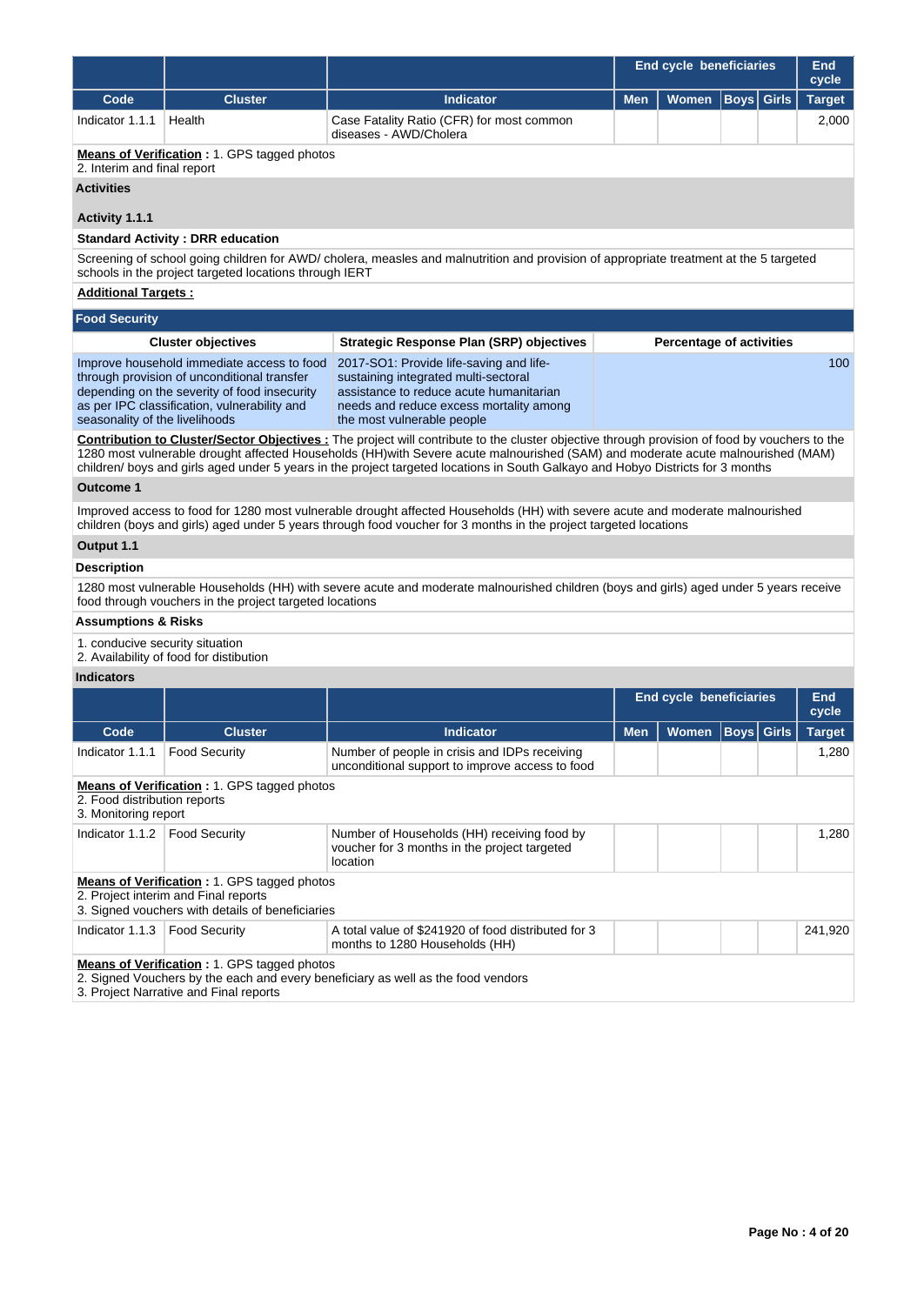|                                                      |                                                                                                                                                                                                                                                                                                                                                                                                                           |                                                                                                                                                                                                                                                   |            | <b>End cycle beneficiaries</b>  |             |                   | End<br>cycle  |  |
|------------------------------------------------------|---------------------------------------------------------------------------------------------------------------------------------------------------------------------------------------------------------------------------------------------------------------------------------------------------------------------------------------------------------------------------------------------------------------------------|---------------------------------------------------------------------------------------------------------------------------------------------------------------------------------------------------------------------------------------------------|------------|---------------------------------|-------------|-------------------|---------------|--|
| Code                                                 | <b>Cluster</b>                                                                                                                                                                                                                                                                                                                                                                                                            | <b>Indicator</b>                                                                                                                                                                                                                                  | <b>Men</b> | <b>Women</b>                    |             | <b>Boys</b> Girls | <b>Target</b> |  |
| Indicator 1.1.1                                      | Health                                                                                                                                                                                                                                                                                                                                                                                                                    | Case Fatality Ratio (CFR) for most common<br>diseases - AWD/Cholera                                                                                                                                                                               |            |                                 |             |                   | 2,000         |  |
| 2. Interim and final report                          | <b>Means of Verification: 1. GPS tagged photos</b>                                                                                                                                                                                                                                                                                                                                                                        |                                                                                                                                                                                                                                                   |            |                                 |             |                   |               |  |
| <b>Activities</b>                                    |                                                                                                                                                                                                                                                                                                                                                                                                                           |                                                                                                                                                                                                                                                   |            |                                 |             |                   |               |  |
| Activity 1.1.1                                       |                                                                                                                                                                                                                                                                                                                                                                                                                           |                                                                                                                                                                                                                                                   |            |                                 |             |                   |               |  |
|                                                      | <b>Standard Activity: DRR education</b>                                                                                                                                                                                                                                                                                                                                                                                   |                                                                                                                                                                                                                                                   |            |                                 |             |                   |               |  |
|                                                      | schools in the project targeted locations through IERT                                                                                                                                                                                                                                                                                                                                                                    | Screening of school going children for AWD/ cholera, measles and malnutrition and provision of appropriate treatment at the 5 targeted                                                                                                            |            |                                 |             |                   |               |  |
| <b>Additional Targets:</b>                           |                                                                                                                                                                                                                                                                                                                                                                                                                           |                                                                                                                                                                                                                                                   |            |                                 |             |                   |               |  |
| <b>Food Security</b>                                 |                                                                                                                                                                                                                                                                                                                                                                                                                           |                                                                                                                                                                                                                                                   |            |                                 |             |                   |               |  |
|                                                      | <b>Cluster objectives</b>                                                                                                                                                                                                                                                                                                                                                                                                 | <b>Strategic Response Plan (SRP) objectives</b>                                                                                                                                                                                                   |            | <b>Percentage of activities</b> |             |                   |               |  |
| seasonality of the livelihoods                       | Improve household immediate access to food<br>through provision of unconditional transfer<br>depending on the severity of food insecurity<br>as per IPC classification, vulnerability and                                                                                                                                                                                                                                 | 2017-SO1: Provide life-saving and life-<br>sustaining integrated multi-sectoral<br>assistance to reduce acute humanitarian<br>needs and reduce excess mortality among<br>the most vulnerable people                                               |            |                                 |             |                   | 100           |  |
|                                                      | <b>Contribution to Cluster/Sector Objectives:</b> The project will contribute to the cluster objective through provision of food by vouchers to the<br>1280 most vulnerable drought affected Households (HH)with Severe acute malnourished (SAM) and moderate acute malnourished (MAM)<br>children/ boys and girls aged under 5 years in the project targeted locations in South Galkayo and Hobyo Districts for 3 months |                                                                                                                                                                                                                                                   |            |                                 |             |                   |               |  |
| Outcome 1                                            |                                                                                                                                                                                                                                                                                                                                                                                                                           |                                                                                                                                                                                                                                                   |            |                                 |             |                   |               |  |
|                                                      |                                                                                                                                                                                                                                                                                                                                                                                                                           | Improved access to food for 1280 most vulnerable drought affected Households (HH) with severe acute and moderate malnourished<br>children (boys and girls) aged under 5 years through food voucher for 3 months in the project targeted locations |            |                                 |             |                   |               |  |
| Output 1.1                                           |                                                                                                                                                                                                                                                                                                                                                                                                                           |                                                                                                                                                                                                                                                   |            |                                 |             |                   |               |  |
| <b>Description</b>                                   |                                                                                                                                                                                                                                                                                                                                                                                                                           |                                                                                                                                                                                                                                                   |            |                                 |             |                   |               |  |
|                                                      | food through vouchers in the project targeted locations                                                                                                                                                                                                                                                                                                                                                                   | 1280 most vulnerable Households (HH) with severe acute and moderate malnourished children (boys and girls) aged under 5 years receive                                                                                                             |            |                                 |             |                   |               |  |
| <b>Assumptions &amp; Risks</b>                       |                                                                                                                                                                                                                                                                                                                                                                                                                           |                                                                                                                                                                                                                                                   |            |                                 |             |                   |               |  |
| 1. conducive security situation                      | 2. Availability of food for distibution                                                                                                                                                                                                                                                                                                                                                                                   |                                                                                                                                                                                                                                                   |            |                                 |             |                   |               |  |
| <b>Indicators</b>                                    |                                                                                                                                                                                                                                                                                                                                                                                                                           |                                                                                                                                                                                                                                                   |            |                                 |             |                   |               |  |
|                                                      |                                                                                                                                                                                                                                                                                                                                                                                                                           |                                                                                                                                                                                                                                                   |            | <b>End cycle beneficiaries</b>  |             |                   | End<br>cycle  |  |
| Code                                                 | <b>Cluster</b>                                                                                                                                                                                                                                                                                                                                                                                                            | <b>Indicator</b>                                                                                                                                                                                                                                  | <b>Men</b> | Women                           | <b>Boys</b> | <b>Girls</b>      | <b>Target</b> |  |
| Indicator 1.1.1                                      | <b>Food Security</b>                                                                                                                                                                                                                                                                                                                                                                                                      | Number of people in crisis and IDPs receiving<br>unconditional support to improve access to food                                                                                                                                                  |            |                                 |             |                   | 1,280         |  |
| 2. Food distribution reports<br>3. Monitoring report | <b>Means of Verification:</b> 1. GPS tagged photos                                                                                                                                                                                                                                                                                                                                                                        |                                                                                                                                                                                                                                                   |            |                                 |             |                   |               |  |
| Indicator 1.1.2                                      | <b>Food Security</b>                                                                                                                                                                                                                                                                                                                                                                                                      | Number of Households (HH) receiving food by<br>voucher for 3 months in the project targeted<br>location                                                                                                                                           |            |                                 |             |                   | 1,280         |  |
|                                                      | Means of Verification: 1. GPS tagged photos<br>2. Project interim and Final reports<br>3. Signed vouchers with details of beneficiaries                                                                                                                                                                                                                                                                                   |                                                                                                                                                                                                                                                   |            |                                 |             |                   |               |  |
| Indicator 1.1.3                                      | <b>Food Security</b>                                                                                                                                                                                                                                                                                                                                                                                                      | A total value of \$241920 of food distributed for 3<br>months to 1280 Households (HH)                                                                                                                                                             |            |                                 |             |                   | 241,920       |  |
|                                                      | Means of Verification: 1. GPS tagged photos<br>3. Project Narrative and Final reports                                                                                                                                                                                                                                                                                                                                     | 2. Signed Vouchers by the each and every beneficiary as well as the food vendors                                                                                                                                                                  |            |                                 |             |                   |               |  |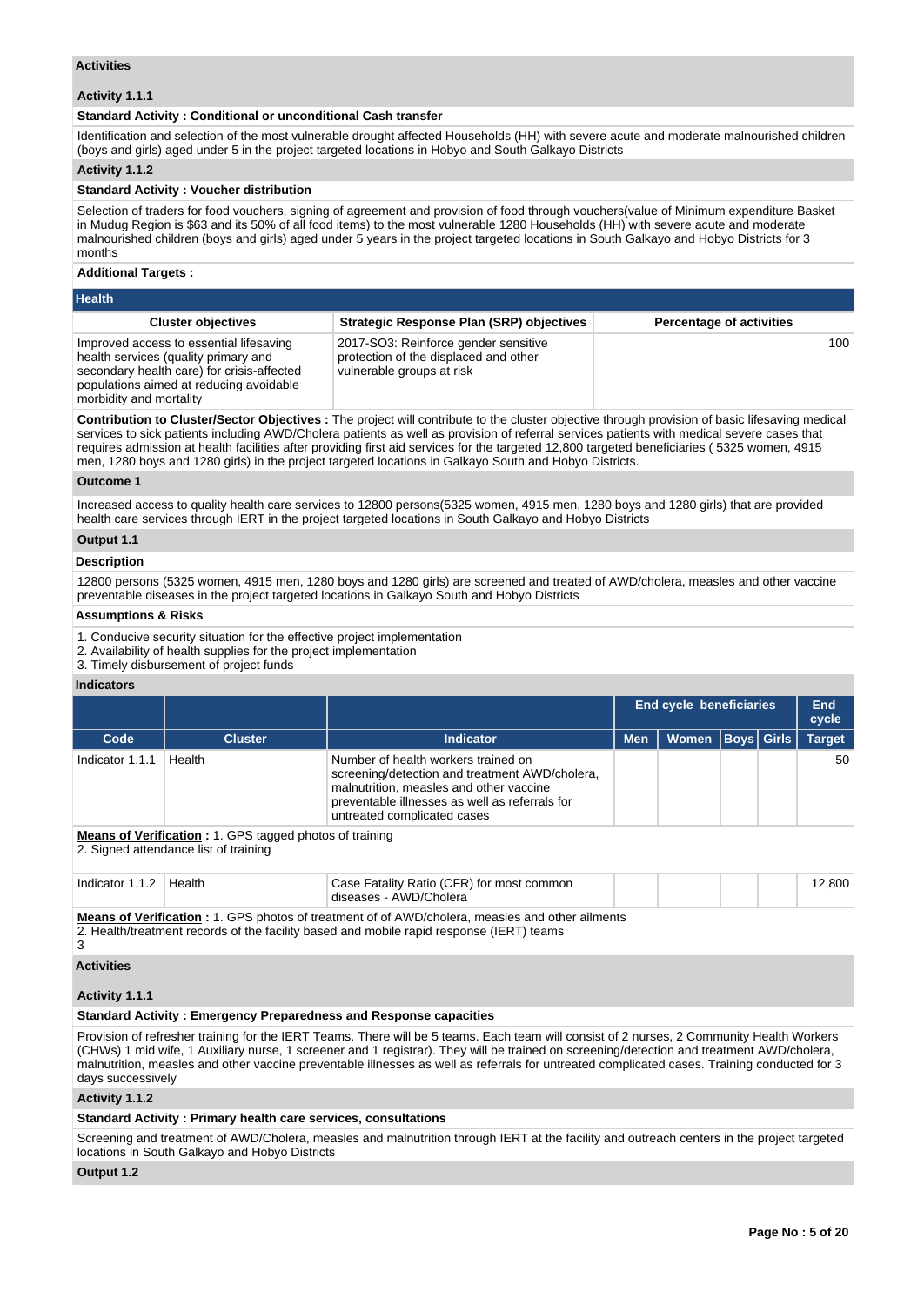#### **Activities**

# **Activity 1.1.1**

#### **Standard Activity : Conditional or unconditional Cash transfer**

Identification and selection of the most vulnerable drought affected Households (HH) with severe acute and moderate malnourished children (boys and girls) aged under 5 in the project targeted locations in Hobyo and South Galkayo Districts

#### **Activity 1.1.2**

### **Standard Activity : Voucher distribution**

Selection of traders for food vouchers, signing of agreement and provision of food through vouchers(value of Minimum expenditure Basket in Mudug Region is \$63 and its 50% of all food items) to the most vulnerable 1280 Households (HH) with severe acute and moderate malnourished children (boys and girls) aged under 5 years in the project targeted locations in South Galkayo and Hobyo Districts for 3 months

#### **Additional Targets :**

| <b>Health</b>                                                                                                                                                                                       |                                                                                                            |                                 |  |  |  |  |  |
|-----------------------------------------------------------------------------------------------------------------------------------------------------------------------------------------------------|------------------------------------------------------------------------------------------------------------|---------------------------------|--|--|--|--|--|
| <b>Cluster objectives</b>                                                                                                                                                                           | <b>Strategic Response Plan (SRP) objectives</b>                                                            | <b>Percentage of activities</b> |  |  |  |  |  |
| Improved access to essential lifesaving<br>health services (quality primary and<br>secondary health care) for crisis-affected<br>populations aimed at reducing avoidable<br>morbidity and mortality | 2017-SO3: Reinforce gender sensitive<br>protection of the displaced and other<br>vulnerable groups at risk | 100                             |  |  |  |  |  |

**Contribution to Cluster/Sector Objectives :** The project will contribute to the cluster objective through provision of basic lifesaving medical services to sick patients including AWD/Cholera patients as well as provision of referral services patients with medical severe cases that requires admission at health facilities after providing first aid services for the targeted 12,800 targeted beneficiaries ( 5325 women, 4915 men, 1280 boys and 1280 girls) in the project targeted locations in Galkayo South and Hobyo Districts.

#### **Outcome 1**

Increased access to quality health care services to 12800 persons(5325 women, 4915 men, 1280 boys and 1280 girls) that are provided health care services through IERT in the project targeted locations in South Galkayo and Hobyo Districts

# **Output 1.1**

#### **Description**

12800 persons (5325 women, 4915 men, 1280 boys and 1280 girls) are screened and treated of AWD/cholera, measles and other vaccine preventable diseases in the project targeted locations in Galkayo South and Hobyo Districts

#### **Assumptions & Risks**

- 1. Conducive security situation for the effective project implementation
- 2. Availability of health supplies for the project implementation

3. Timely disbursement of project funds

# **Indicators**

|                                                                                                                                                                                                          |                                                                      |                                                                                                                                                                                                                   | End cycle beneficiaries |              | <b>End</b><br>cycle |                   |               |
|----------------------------------------------------------------------------------------------------------------------------------------------------------------------------------------------------------|----------------------------------------------------------------------|-------------------------------------------------------------------------------------------------------------------------------------------------------------------------------------------------------------------|-------------------------|--------------|---------------------|-------------------|---------------|
| Code                                                                                                                                                                                                     | <b>Cluster</b>                                                       | <b>Indicator</b>                                                                                                                                                                                                  | <b>Men</b>              | <b>Women</b> |                     | <b>Boys Girls</b> | <b>Target</b> |
| Indicator 1.1.1                                                                                                                                                                                          | Health                                                               | Number of health workers trained on<br>screening/detection and treatment AWD/cholera,<br>malnutrition, measles and other vaccine<br>preventable illnesses as well as referrals for<br>untreated complicated cases |                         |              |                     |                   | 50            |
| <b>Means of Verification :</b> 1. GPS tagged photos of training<br>2. Signed attendance list of training                                                                                                 |                                                                      |                                                                                                                                                                                                                   |                         |              |                     |                   |               |
| Indicator 1.1.2                                                                                                                                                                                          | Health                                                               | Case Fatality Ratio (CFR) for most common<br>diseases - AWD/Cholera                                                                                                                                               |                         |              |                     |                   | 12,800        |
| <b>Means of Verification</b> : 1. GPS photos of treatment of of AWD/cholera, measles and other ailments<br>2. Health/treatment records of the facility based and mobile rapid response (IERT) teams<br>3 |                                                                      |                                                                                                                                                                                                                   |                         |              |                     |                   |               |
| <b>Activities</b>                                                                                                                                                                                        |                                                                      |                                                                                                                                                                                                                   |                         |              |                     |                   |               |
| Activity 1.1.1                                                                                                                                                                                           |                                                                      |                                                                                                                                                                                                                   |                         |              |                     |                   |               |
|                                                                                                                                                                                                          | Area dead Arabibility Faces and an Baragar dares on the construction |                                                                                                                                                                                                                   |                         |              |                     |                   |               |

# **Standard Activity : Emergency Preparedness and Response capacities**

Provision of refresher training for the IERT Teams. There will be 5 teams. Each team will consist of 2 nurses, 2 Community Health Workers (CHWs) 1 mid wife, 1 Auxiliary nurse, 1 screener and 1 registrar). They will be trained on screening/detection and treatment AWD/cholera, malnutrition, measles and other vaccine preventable illnesses as well as referrals for untreated complicated cases. Training conducted for 3 days successively

# **Activity 1.1.2**

# **Standard Activity : Primary health care services, consultations**

Screening and treatment of AWD/Cholera, measles and malnutrition through IERT at the facility and outreach centers in the project targeted locations in South Galkayo and Hobyo Districts

#### **Output 1.2**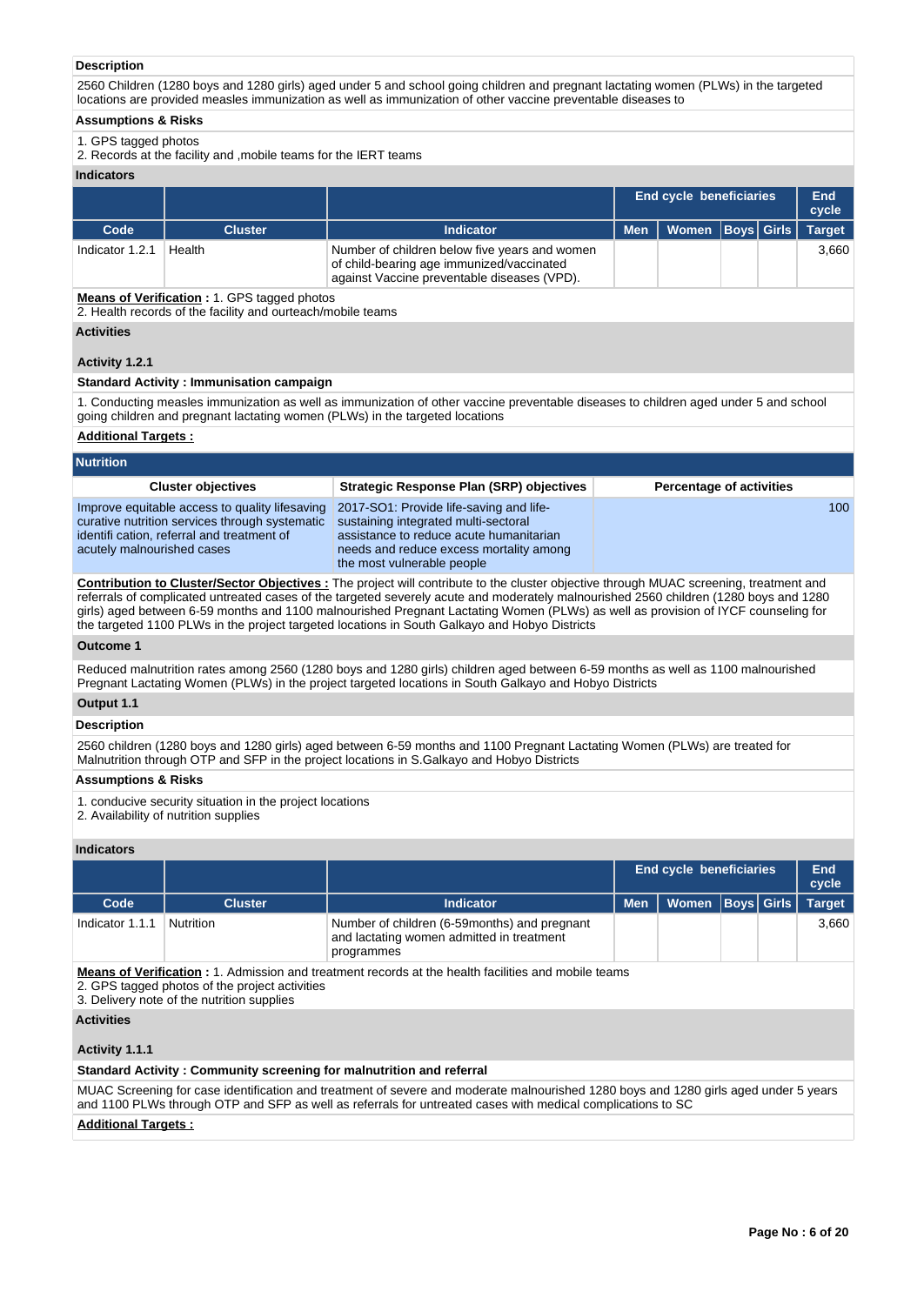# **Description**

2560 Children (1280 boys and 1280 girls) aged under 5 and school going children and pregnant lactating women (PLWs) in the targeted locations are provided measles immunization as well as immunization of other vaccine preventable diseases to

# **Assumptions & Risks**

# 1. GPS tagged photos

2. Records at the facility and ,mobile teams for the IERT teams

# **Indicators**

|                 |                |                                                                                                                                           |            | <b>End cycle beneficiaries</b> |  |  | End<br>cycle  |
|-----------------|----------------|-------------------------------------------------------------------------------------------------------------------------------------------|------------|--------------------------------|--|--|---------------|
| Code            | <b>Cluster</b> | <b>Indicator</b>                                                                                                                          | <b>Men</b> | Women   Boys   Girls           |  |  | <b>Target</b> |
| Indicator 1.2.1 | Health         | Number of children below five years and women<br>of child-bearing age immunized/vaccinated<br>against Vaccine preventable diseases (VPD). |            |                                |  |  | 3.660         |

**Means of Verification :** 1. GPS tagged photos

2. Health records of the facility and ourteach/mobile teams

# **Activities**

# **Activity 1.2.1**

# **Standard Activity : Immunisation campaign**

1. Conducting measles immunization as well as immunization of other vaccine preventable diseases to children aged under 5 and school going children and pregnant lactating women (PLWs) in the targeted locations

#### **Additional Targets :**

| <b>Nutrition</b>                                                                                                                                                            |                                                                                                                                                                                                     |                                 |
|-----------------------------------------------------------------------------------------------------------------------------------------------------------------------------|-----------------------------------------------------------------------------------------------------------------------------------------------------------------------------------------------------|---------------------------------|
| <b>Cluster objectives</b>                                                                                                                                                   | Strategic Response Plan (SRP) objectives                                                                                                                                                            | <b>Percentage of activities</b> |
| Improve equitable access to quality lifesaving<br>curative nutrition services through systematic<br>identification, referral and treatment of<br>acutely malnourished cases | 2017-SO1: Provide life-saving and life-<br>sustaining integrated multi-sectoral<br>assistance to reduce acute humanitarian<br>needs and reduce excess mortality among<br>the most vulnerable people | 100                             |
|                                                                                                                                                                             |                                                                                                                                                                                                     |                                 |

**Contribution to Cluster/Sector Objectives :** The project will contribute to the cluster objective through MUAC screening, treatment and referrals of complicated untreated cases of the targeted severely acute and moderately malnourished 2560 children (1280 boys and 1280 girls) aged between 6-59 months and 1100 malnourished Pregnant Lactating Women (PLWs) as well as provision of IYCF counseling for the targeted 1100 PLWs in the project targeted locations in South Galkayo and Hobyo Districts

#### **Outcome 1**

Reduced malnutrition rates among 2560 (1280 boys and 1280 girls) children aged between 6-59 months as well as 1100 malnourished Pregnant Lactating Women (PLWs) in the project targeted locations in South Galkayo and Hobyo Districts

## **Output 1.1**

#### **Description**

2560 children (1280 boys and 1280 girls) aged between 6-59 months and 1100 Pregnant Lactating Women (PLWs) are treated for Malnutrition through OTP and SFP in the project locations in S.Galkayo and Hobyo Districts

#### **Assumptions & Risks**

1. conducive security situation in the project locations

2. Availability of nutrition supplies

#### **Indicators**

|                                                                                                                                                                                                            |                |                                                                                                         |            | <b>End cycle beneficiaries</b> |  |  |               |  |  |  |  |
|------------------------------------------------------------------------------------------------------------------------------------------------------------------------------------------------------------|----------------|---------------------------------------------------------------------------------------------------------|------------|--------------------------------|--|--|---------------|--|--|--|--|
| Code                                                                                                                                                                                                       | <b>Cluster</b> | Indicator                                                                                               | <b>Men</b> | Women   Boys   Girls           |  |  | <b>Target</b> |  |  |  |  |
| Indicator 1.1.1                                                                                                                                                                                            | Nutrition      | Number of children (6-59months) and pregnant<br>and lactating women admitted in treatment<br>programmes |            |                                |  |  | 3.660         |  |  |  |  |
| <b>Means of Verification:</b> 1. Admission and treatment records at the health facilities and mobile teams<br>2. GPS tagged photos of the project activities<br>3. Delivery note of the nutrition supplies |                |                                                                                                         |            |                                |  |  |               |  |  |  |  |

**Activities**

# **Activity 1.1.1**

#### **Standard Activity : Community screening for malnutrition and referral**

MUAC Screening for case identification and treatment of severe and moderate malnourished 1280 boys and 1280 girls aged under 5 years and 1100 PLWs through OTP and SFP as well as referrals for untreated cases with medical complications to SC

#### **Additional Targets :**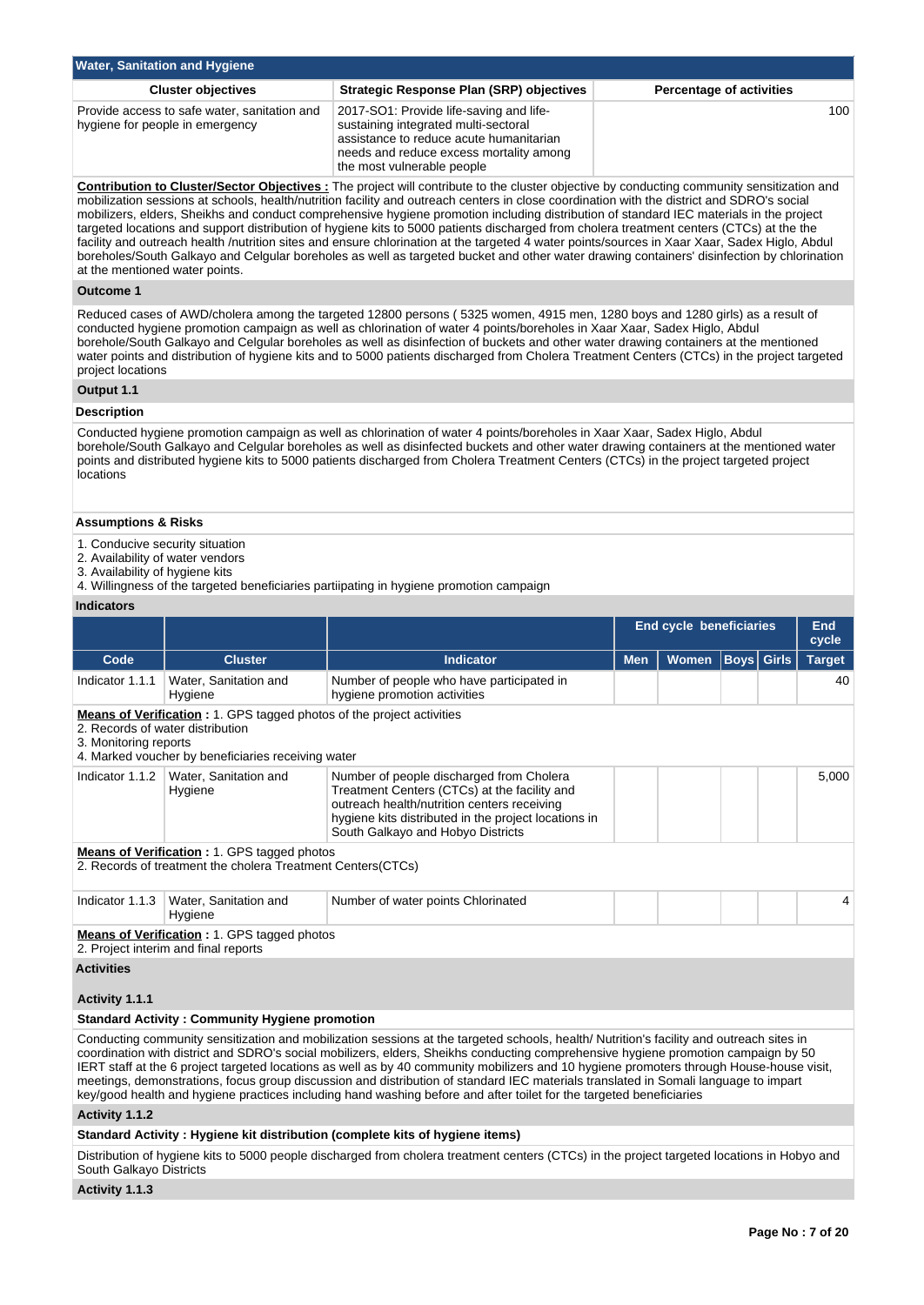| <b>Water, Sanitation and Hygiene</b>                                            |                                                                                                                                                                                                     |                                 |  |  |  |  |  |  |  |  |  |  |
|---------------------------------------------------------------------------------|-----------------------------------------------------------------------------------------------------------------------------------------------------------------------------------------------------|---------------------------------|--|--|--|--|--|--|--|--|--|--|
| <b>Cluster objectives</b>                                                       | <b>Strategic Response Plan (SRP) objectives</b>                                                                                                                                                     | <b>Percentage of activities</b> |  |  |  |  |  |  |  |  |  |  |
| Provide access to safe water, sanitation and<br>hygiene for people in emergency | 2017-SO1: Provide life-saving and life-<br>sustaining integrated multi-sectoral<br>assistance to reduce acute humanitarian<br>needs and reduce excess mortality among<br>the most vulnerable people | 100 <sup>°</sup>                |  |  |  |  |  |  |  |  |  |  |

**Contribution to Cluster/Sector Objectives :** The project will contribute to the cluster objective by conducting community sensitization and mobilization sessions at schools, health/nutrition facility and outreach centers in close coordination with the district and SDRO's social mobilizers, elders, Sheikhs and conduct comprehensive hygiene promotion including distribution of standard IEC materials in the project targeted locations and support distribution of hygiene kits to 5000 patients discharged from cholera treatment centers (CTCs) at the the facility and outreach health /nutrition sites and ensure chlorination at the targeted 4 water points/sources in Xaar Xaar, Sadex Higlo, Abdul boreholes/South Galkayo and Celgular boreholes as well as targeted bucket and other water drawing containers' disinfection by chlorination at the mentioned water points.

#### **Outcome 1**

Reduced cases of AWD/cholera among the targeted 12800 persons ( 5325 women, 4915 men, 1280 boys and 1280 girls) as a result of conducted hygiene promotion campaign as well as chlorination of water 4 points/boreholes in Xaar Xaar, Sadex Higlo, Abdul borehole/South Galkayo and Celgular boreholes as well as disinfection of buckets and other water drawing containers at the mentioned water points and distribution of hygiene kits and to 5000 patients discharged from Cholera Treatment Centers (CTCs) in the project targeted project locations

#### **Output 1.1**

#### **Description**

Conducted hygiene promotion campaign as well as chlorination of water 4 points/boreholes in Xaar Xaar, Sadex Higlo, Abdul borehole/South Galkayo and Celgular boreholes as well as disinfected buckets and other water drawing containers at the mentioned water points and distributed hygiene kits to 5000 patients discharged from Cholera Treatment Centers (CTCs) in the project targeted project locations

# **Assumptions & Risks**

- 1. Conducive security situation
- 2. Availability of water vendors
- 3. Availability of hygiene kits
- 4. Willingness of the targeted beneficiaries partiipating in hygiene promotion campaign

# **Indicators**

|                                                                                                                                                                                          |                                                                                                                   |                                                                                                                                                                                                                                                                                                                                                                                                                                                                                                                                                                                                                                                                                         | <b>End cycle beneficiaries</b> | End<br>cycle |                   |  |               |  |  |  |
|------------------------------------------------------------------------------------------------------------------------------------------------------------------------------------------|-------------------------------------------------------------------------------------------------------------------|-----------------------------------------------------------------------------------------------------------------------------------------------------------------------------------------------------------------------------------------------------------------------------------------------------------------------------------------------------------------------------------------------------------------------------------------------------------------------------------------------------------------------------------------------------------------------------------------------------------------------------------------------------------------------------------------|--------------------------------|--------------|-------------------|--|---------------|--|--|--|
| Code                                                                                                                                                                                     | <b>Cluster</b>                                                                                                    | Indicator                                                                                                                                                                                                                                                                                                                                                                                                                                                                                                                                                                                                                                                                               | <b>Men</b>                     | <b>Women</b> | <b>Boys</b> Girls |  | <b>Target</b> |  |  |  |
| Indicator 1.1.1                                                                                                                                                                          | Water, Sanitation and<br>Hygiene                                                                                  | Number of people who have participated in<br>hygiene promotion activities                                                                                                                                                                                                                                                                                                                                                                                                                                                                                                                                                                                                               |                                |              |                   |  | 40            |  |  |  |
| Means of Verification: 1. GPS tagged photos of the project activities<br>2. Records of water distribution<br>3. Monitoring reports<br>4. Marked voucher by beneficiaries receiving water |                                                                                                                   |                                                                                                                                                                                                                                                                                                                                                                                                                                                                                                                                                                                                                                                                                         |                                |              |                   |  |               |  |  |  |
| Indicator 1.1.2                                                                                                                                                                          | Water, Sanitation and<br>Hygiene                                                                                  | Number of people discharged from Cholera<br>Treatment Centers (CTCs) at the facility and<br>outreach health/nutrition centers receiving<br>hygiene kits distributed in the project locations in<br>South Galkayo and Hobyo Districts                                                                                                                                                                                                                                                                                                                                                                                                                                                    |                                |              |                   |  |               |  |  |  |
|                                                                                                                                                                                          | <b>Means of Verification: 1. GPS tagged photos</b><br>2. Records of treatment the cholera Treatment Centers(CTCs) |                                                                                                                                                                                                                                                                                                                                                                                                                                                                                                                                                                                                                                                                                         |                                |              |                   |  |               |  |  |  |
| Indicator 1.1.3                                                                                                                                                                          | Water, Sanitation and<br>Hygiene                                                                                  | Number of water points Chlorinated                                                                                                                                                                                                                                                                                                                                                                                                                                                                                                                                                                                                                                                      |                                |              |                   |  | 4             |  |  |  |
|                                                                                                                                                                                          | Means of Verification: 1. GPS tagged photos<br>2. Project interim and final reports                               |                                                                                                                                                                                                                                                                                                                                                                                                                                                                                                                                                                                                                                                                                         |                                |              |                   |  |               |  |  |  |
| <b>Activities</b>                                                                                                                                                                        |                                                                                                                   |                                                                                                                                                                                                                                                                                                                                                                                                                                                                                                                                                                                                                                                                                         |                                |              |                   |  |               |  |  |  |
| Activity 1.1.1                                                                                                                                                                           |                                                                                                                   |                                                                                                                                                                                                                                                                                                                                                                                                                                                                                                                                                                                                                                                                                         |                                |              |                   |  |               |  |  |  |
|                                                                                                                                                                                          | <b>Standard Activity: Community Hygiene promotion</b>                                                             |                                                                                                                                                                                                                                                                                                                                                                                                                                                                                                                                                                                                                                                                                         |                                |              |                   |  |               |  |  |  |
|                                                                                                                                                                                          |                                                                                                                   | Conducting community sensitization and mobilization sessions at the targeted schools, health/Nutrition's facility and outreach sites in<br>coordination with district and SDRO's social mobilizers, elders, Sheikhs conducting comprehensive hygiene promotion campaign by 50<br>IERT staff at the 6 project targeted locations as well as by 40 community mobilizers and 10 hygiene promoters through House-house visit,<br>meetings, demonstrations, focus group discussion and distribution of standard IEC materials translated in Somali language to impart<br>key/good health and hygiene practices including hand washing before and after toilet for the targeted beneficiaries |                                |              |                   |  |               |  |  |  |
| Activity 1.1.2                                                                                                                                                                           |                                                                                                                   |                                                                                                                                                                                                                                                                                                                                                                                                                                                                                                                                                                                                                                                                                         |                                |              |                   |  |               |  |  |  |
|                                                                                                                                                                                          |                                                                                                                   | Standard Activity : Hygiene kit distribution (complete kits of hygiene items)                                                                                                                                                                                                                                                                                                                                                                                                                                                                                                                                                                                                           |                                |              |                   |  |               |  |  |  |
| South Galkayo Districts                                                                                                                                                                  |                                                                                                                   | Distribution of hygiene kits to 5000 people discharged from cholera treatment centers (CTCs) in the project targeted locations in Hobyo and                                                                                                                                                                                                                                                                                                                                                                                                                                                                                                                                             |                                |              |                   |  |               |  |  |  |
| .                                                                                                                                                                                        |                                                                                                                   |                                                                                                                                                                                                                                                                                                                                                                                                                                                                                                                                                                                                                                                                                         |                                |              |                   |  |               |  |  |  |

**Activity 1.1.3**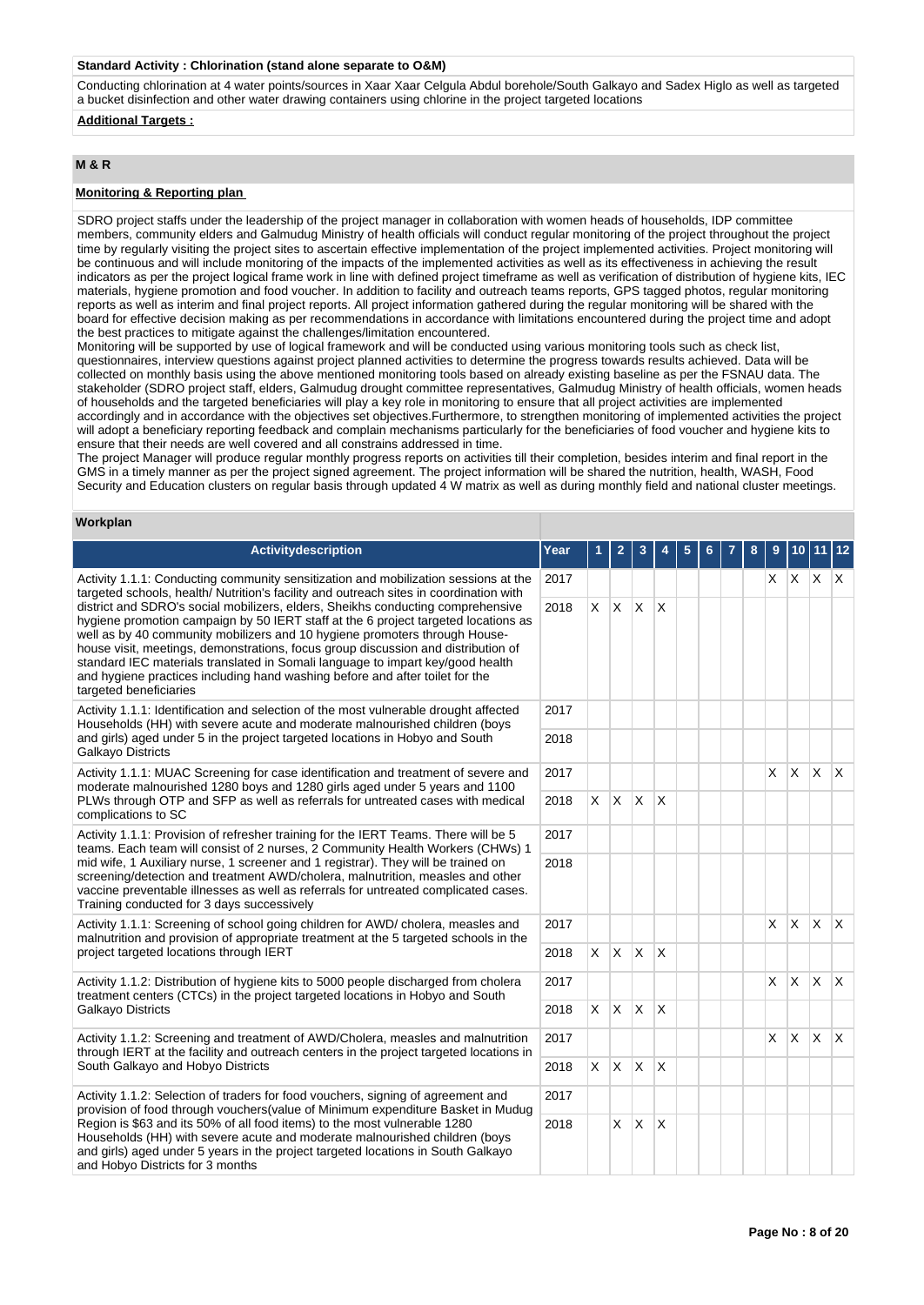#### **Standard Activity : Chlorination (stand alone separate to O&M)**

Conducting chlorination at 4 water points/sources in Xaar Xaar Celgula Abdul borehole/South Galkayo and Sadex Higlo as well as targeted a bucket disinfection and other water drawing containers using chlorine in the project targeted locations

**Additional Targets :**

# **M & R**

# **Monitoring & Reporting plan**

SDRO project staffs under the leadership of the project manager in collaboration with women heads of households, IDP committee members, community elders and Galmudug Ministry of health officials will conduct regular monitoring of the project throughout the project time by regularly visiting the project sites to ascertain effective implementation of the project implemented activities. Project monitoring will be continuous and will include monitoring of the impacts of the implemented activities as well as its effectiveness in achieving the result indicators as per the project logical frame work in line with defined project timeframe as well as verification of distribution of hygiene kits, IEC materials, hygiene promotion and food voucher. In addition to facility and outreach teams reports, GPS tagged photos, regular monitoring reports as well as interim and final project reports. All project information gathered during the regular monitoring will be shared with the board for effective decision making as per recommendations in accordance with limitations encountered during the project time and adopt the best practices to mitigate against the challenges/limitation encountered.

Monitoring will be supported by use of logical framework and will be conducted using various monitoring tools such as check list, questionnaires, interview questions against project planned activities to determine the progress towards results achieved. Data will be collected on monthly basis using the above mentioned monitoring tools based on already existing baseline as per the FSNAU data. The stakeholder (SDRO project staff, elders, Galmudug drought committee representatives, Galmudug Ministry of health officials, women heads of households and the targeted beneficiaries will play a key role in monitoring to ensure that all project activities are implemented accordingly and in accordance with the objectives set objectives.Furthermore, to strengthen monitoring of implemented activities the project will adopt a beneficiary reporting feedback and complain mechanisms particularly for the beneficiaries of food voucher and hygiene kits to ensure that their needs are well covered and all constrains addressed in time.

The project Manager will produce regular monthly progress reports on activities till their completion, besides interim and final report in the GMS in a timely manner as per the project signed agreement. The project information will be shared the nutrition, health, WASH, Food Security and Education clusters on regular basis through updated 4 W matrix as well as during monthly field and national cluster meetings.

## **Workplan**

| <b>Activitydescription</b>                                                                                                                                                                                                                                                                                                                                                                                                                                                                                                                                                                                                                                                                                                            | Year |            |                |              |                        |  |  |              |              |          | 12           |
|---------------------------------------------------------------------------------------------------------------------------------------------------------------------------------------------------------------------------------------------------------------------------------------------------------------------------------------------------------------------------------------------------------------------------------------------------------------------------------------------------------------------------------------------------------------------------------------------------------------------------------------------------------------------------------------------------------------------------------------|------|------------|----------------|--------------|------------------------|--|--|--------------|--------------|----------|--------------|
| 2017<br>Activity 1.1.1: Conducting community sensitization and mobilization sessions at the<br>targeted schools, health/ Nutrition's facility and outreach sites in coordination with<br>district and SDRO's social mobilizers, elders, Sheikhs conducting comprehensive<br>2018<br>hygiene promotion campaign by 50 IERT staff at the 6 project targeted locations as<br>well as by 40 community mobilizers and 10 hygiene promoters through House-<br>house visit, meetings, demonstrations, focus group discussion and distribution of<br>standard IEC materials translated in Somali language to impart key/good health<br>and hygiene practices including hand washing before and after toilet for the<br>targeted beneficiaries |      |            |                |              |                        |  |  | X.           | $\mathsf{X}$ | ΙX.      | $\mathsf{X}$ |
|                                                                                                                                                                                                                                                                                                                                                                                                                                                                                                                                                                                                                                                                                                                                       |      | $\times$   | $\mathsf{X}$   | ΙX.          | $\mathsf{X}$           |  |  |              |              |          |              |
| Activity 1.1.1: Identification and selection of the most vulnerable drought affected<br>2017<br>Households (HH) with severe acute and moderate malnourished children (boys<br>and girls) aged under 5 in the project targeted locations in Hobyo and South<br>2018<br>Galkayo Districts                                                                                                                                                                                                                                                                                                                                                                                                                                               |      |            |                |              |                        |  |  |              |              |          |              |
|                                                                                                                                                                                                                                                                                                                                                                                                                                                                                                                                                                                                                                                                                                                                       |      |            |                |              |                        |  |  |              |              |          |              |
| Activity 1.1.1: MUAC Screening for case identification and treatment of severe and<br>moderate malnourished 1280 boys and 1280 girls aged under 5 years and 1100                                                                                                                                                                                                                                                                                                                                                                                                                                                                                                                                                                      | 2017 |            |                |              |                        |  |  | $\times$     | <b>X</b>     | <b>X</b> | $\mathsf{X}$ |
| PLWs through OTP and SFP as well as referrals for untreated cases with medical<br>2018<br>complications to SC                                                                                                                                                                                                                                                                                                                                                                                                                                                                                                                                                                                                                         |      | $\times$   | X.             | $\mathsf{X}$ | $\mathsf{X}$           |  |  |              |              |          |              |
| Activity 1.1.1: Provision of refresher training for the IERT Teams. There will be 5<br>2017<br>teams. Each team will consist of 2 nurses, 2 Community Health Workers (CHWs) 1                                                                                                                                                                                                                                                                                                                                                                                                                                                                                                                                                         |      |            |                |              |                        |  |  |              |              |          |              |
| mid wife, 1 Auxiliary nurse, 1 screener and 1 registrar). They will be trained on<br>screening/detection and treatment AWD/cholera, malnutrition, measles and other<br>vaccine preventable illnesses as well as referrals for untreated complicated cases.<br>Training conducted for 3 days successively                                                                                                                                                                                                                                                                                                                                                                                                                              | 2018 |            |                |              |                        |  |  |              |              |          |              |
| Activity 1.1.1: Screening of school going children for AWD/ cholera, measles and<br>malnutrition and provision of appropriate treatment at the 5 targeted schools in the                                                                                                                                                                                                                                                                                                                                                                                                                                                                                                                                                              | 2017 |            |                |              |                        |  |  | $\times$     | <b>X</b>     | <b>X</b> | $\mathsf{X}$ |
| project targeted locations through IERT                                                                                                                                                                                                                                                                                                                                                                                                                                                                                                                                                                                                                                                                                               | 2018 | $X \mid X$ |                | $\mathsf{X}$ | $\mathsf{I}\mathsf{X}$ |  |  |              |              |          |              |
| Activity 1.1.2: Distribution of hygiene kits to 5000 people discharged from cholera<br>treatment centers (CTCs) in the project targeted locations in Hobyo and South                                                                                                                                                                                                                                                                                                                                                                                                                                                                                                                                                                  | 2017 |            |                |              |                        |  |  | X            | <b>X</b>     | ΙX.      | $\mathsf{X}$ |
| Galkayo Districts                                                                                                                                                                                                                                                                                                                                                                                                                                                                                                                                                                                                                                                                                                                     | 2018 |            | $x \mathbf{x}$ | $\mathsf{X}$ | $\mathsf{X}$           |  |  |              |              |          |              |
| Activity 1.1.2: Screening and treatment of AWD/Cholera, measles and malnutrition<br>through IERT at the facility and outreach centers in the project targeted locations in                                                                                                                                                                                                                                                                                                                                                                                                                                                                                                                                                            | 2017 |            |                |              |                        |  |  | $\mathsf{X}$ | $\mathsf{X}$ | <b>X</b> | $\mathsf{X}$ |
| South Galkayo and Hobyo Districts<br>2018                                                                                                                                                                                                                                                                                                                                                                                                                                                                                                                                                                                                                                                                                             |      | $\times$   | $\mathsf{X}$   | $\mathsf{X}$ | $\mathsf{X}$           |  |  |              |              |          |              |
| Activity 1.1.2: Selection of traders for food vouchers, signing of agreement and<br>2017<br>provision of food through vouchers (value of Minimum expenditure Basket in Mudug<br>Region is \$63 and its 50% of all food items) to the most vulnerable 1280<br>2018<br>Households (HH) with severe acute and moderate malnourished children (boys<br>and girls) aged under 5 years in the project targeted locations in South Galkayo<br>and Hobyo Districts for 3 months                                                                                                                                                                                                                                                               |      |            |                |              |                        |  |  |              |              |          |              |
|                                                                                                                                                                                                                                                                                                                                                                                                                                                                                                                                                                                                                                                                                                                                       |      |            | X              | X.           | $\overline{X}$         |  |  |              |              |          |              |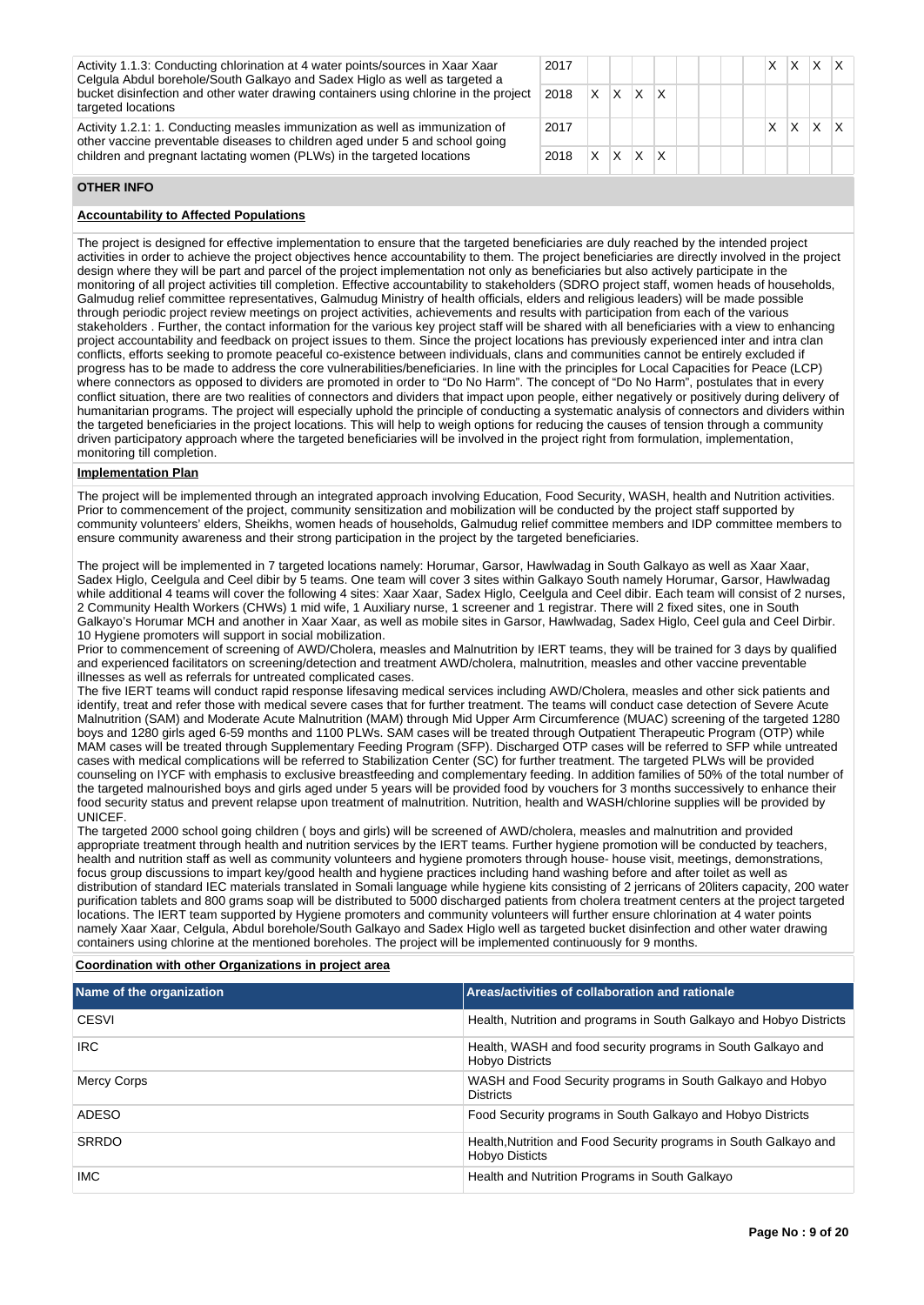| Activity 1.1.3: Conducting chlorination at 4 water points/sources in Xaar Xaar<br>Celgula Abdul borehole/South Galkayo and Sadex Higlo as well as targeted a  | 2017<br>X<br>X.<br>X.<br>2018<br>$X$ X<br>$\times$<br>2017<br>x<br>$\mathsf{I} \mathsf{X}$<br>$\times$<br>2018<br>X. |  |  |  |  |  |  |
|---------------------------------------------------------------------------------------------------------------------------------------------------------------|----------------------------------------------------------------------------------------------------------------------|--|--|--|--|--|--|
| bucket disinfection and other water drawing containers using chlorine in the project<br>targeted locations                                                    |                                                                                                                      |  |  |  |  |  |  |
| Activity 1.2.1: 1. Conducting measles immunization as well as immunization of<br>other vaccine preventable diseases to children aged under 5 and school going |                                                                                                                      |  |  |  |  |  |  |
| children and pregnant lactating women (PLWs) in the targeted locations                                                                                        |                                                                                                                      |  |  |  |  |  |  |

#### **OTHER INFO**

# **Accountability to Affected Populations**

The project is designed for effective implementation to ensure that the targeted beneficiaries are duly reached by the intended project activities in order to achieve the project objectives hence accountability to them. The project beneficiaries are directly involved in the project design where they will be part and parcel of the project implementation not only as beneficiaries but also actively participate in the monitoring of all project activities till completion. Effective accountability to stakeholders (SDRO project staff, women heads of households, Galmudug relief committee representatives, Galmudug Ministry of health officials, elders and religious leaders) will be made possible through periodic project review meetings on project activities, achievements and results with participation from each of the various stakeholders . Further, the contact information for the various key project staff will be shared with all beneficiaries with a view to enhancing project accountability and feedback on project issues to them. Since the project locations has previously experienced inter and intra clan conflicts, efforts seeking to promote peaceful co-existence between individuals, clans and communities cannot be entirely excluded if progress has to be made to address the core vulnerabilities/beneficiaries. In line with the principles for Local Capacities for Peace (LCP) where connectors as opposed to dividers are promoted in order to "Do No Harm". The concept of "Do No Harm", postulates that in every conflict situation, there are two realities of connectors and dividers that impact upon people, either negatively or positively during delivery of humanitarian programs. The project will especially uphold the principle of conducting a systematic analysis of connectors and dividers within the targeted beneficiaries in the project locations. This will help to weigh options for reducing the causes of tension through a community driven participatory approach where the targeted beneficiaries will be involved in the project right from formulation, implementation, monitoring till completion.

### **Implementation Plan**

The project will be implemented through an integrated approach involving Education, Food Security, WASH, health and Nutrition activities. Prior to commencement of the project, community sensitization and mobilization will be conducted by the project staff supported by community volunteers' elders, Sheikhs, women heads of households, Galmudug relief committee members and IDP committee members to ensure community awareness and their strong participation in the project by the targeted beneficiaries.

The project will be implemented in 7 targeted locations namely: Horumar, Garsor, Hawlwadag in South Galkayo as well as Xaar Xaar, Sadex Higlo, Ceelgula and Ceel dibir by 5 teams. One team will cover 3 sites within Galkayo South namely Horumar, Garsor, Hawlwadag while additional 4 teams will cover the following 4 sites: Xaar Xaar, Sadex Higlo, Ceelgula and Ceel dibir. Each team will consist of 2 nurses, 2 Community Health Workers (CHWs) 1 mid wife, 1 Auxiliary nurse, 1 screener and 1 registrar. There will 2 fixed sites, one in South Galkayo's Horumar MCH and another in Xaar Xaar, as well as mobile sites in Garsor, Hawlwadag, Sadex Higlo, Ceel gula and Ceel Dirbir. 10 Hygiene promoters will support in social mobilization.

Prior to commencement of screening of AWD/Cholera, measles and Malnutrition by IERT teams, they will be trained for 3 days by qualified and experienced facilitators on screening/detection and treatment AWD/cholera, malnutrition, measles and other vaccine preventable illnesses as well as referrals for untreated complicated cases.

The five IERT teams will conduct rapid response lifesaving medical services including AWD/Cholera, measles and other sick patients and identify, treat and refer those with medical severe cases that for further treatment. The teams will conduct case detection of Severe Acute Malnutrition (SAM) and Moderate Acute Malnutrition (MAM) through Mid Upper Arm Circumference (MUAC) screening of the targeted 1280 boys and 1280 girls aged 6-59 months and 1100 PLWs. SAM cases will be treated through Outpatient Therapeutic Program (OTP) while MAM cases will be treated through Supplementary Feeding Program (SFP). Discharged OTP cases will be referred to SFP while untreated cases with medical complications will be referred to Stabilization Center (SC) for further treatment. The targeted PLWs will be provided counseling on IYCF with emphasis to exclusive breastfeeding and complementary feeding. In addition families of 50% of the total number of the targeted malnourished boys and girls aged under 5 years will be provided food by vouchers for 3 months successively to enhance their food security status and prevent relapse upon treatment of malnutrition. Nutrition, health and WASH/chlorine supplies will be provided by UNICEF.

The targeted 2000 school going children ( boys and girls) will be screened of AWD/cholera, measles and malnutrition and provided appropriate treatment through health and nutrition services by the IERT teams. Further hygiene promotion will be conducted by teachers, health and nutrition staff as well as community volunteers and hygiene promoters through house- house visit, meetings, demonstrations, focus group discussions to impart key/good health and hygiene practices including hand washing before and after toilet as well as distribution of standard IEC materials translated in Somali language while hygiene kits consisting of 2 jerricans of 20liters capacity, 200 water purification tablets and 800 grams soap will be distributed to 5000 discharged patients from cholera treatment centers at the project targeted locations. The IERT team supported by Hygiene promoters and community volunteers will further ensure chlorination at 4 water points namely Xaar Xaar, Celgula, Abdul borehole/South Galkayo and Sadex Higlo well as targeted bucket disinfection and other water drawing containers using chlorine at the mentioned boreholes. The project will be implemented continuously for 9 months.

#### **Coordination with other Organizations in project area**

| Name of the organization | Areas/activities of collaboration and rationale                                            |
|--------------------------|--------------------------------------------------------------------------------------------|
| <b>CESVI</b>             | Health, Nutrition and programs in South Galkayo and Hobyo Districts                        |
| <b>IRC</b>               | Health, WASH and food security programs in South Galkayo and<br>Hobyo Districts            |
| Mercy Corps              | WASH and Food Security programs in South Galkayo and Hobyo<br><b>Districts</b>             |
| ADESO                    | Food Security programs in South Galkayo and Hobyo Districts                                |
| <b>SRRDO</b>             | Health, Nutrition and Food Security programs in South Galkayo and<br><b>Hobyo Disticts</b> |
| IMC.                     | Health and Nutrition Programs in South Galkayo                                             |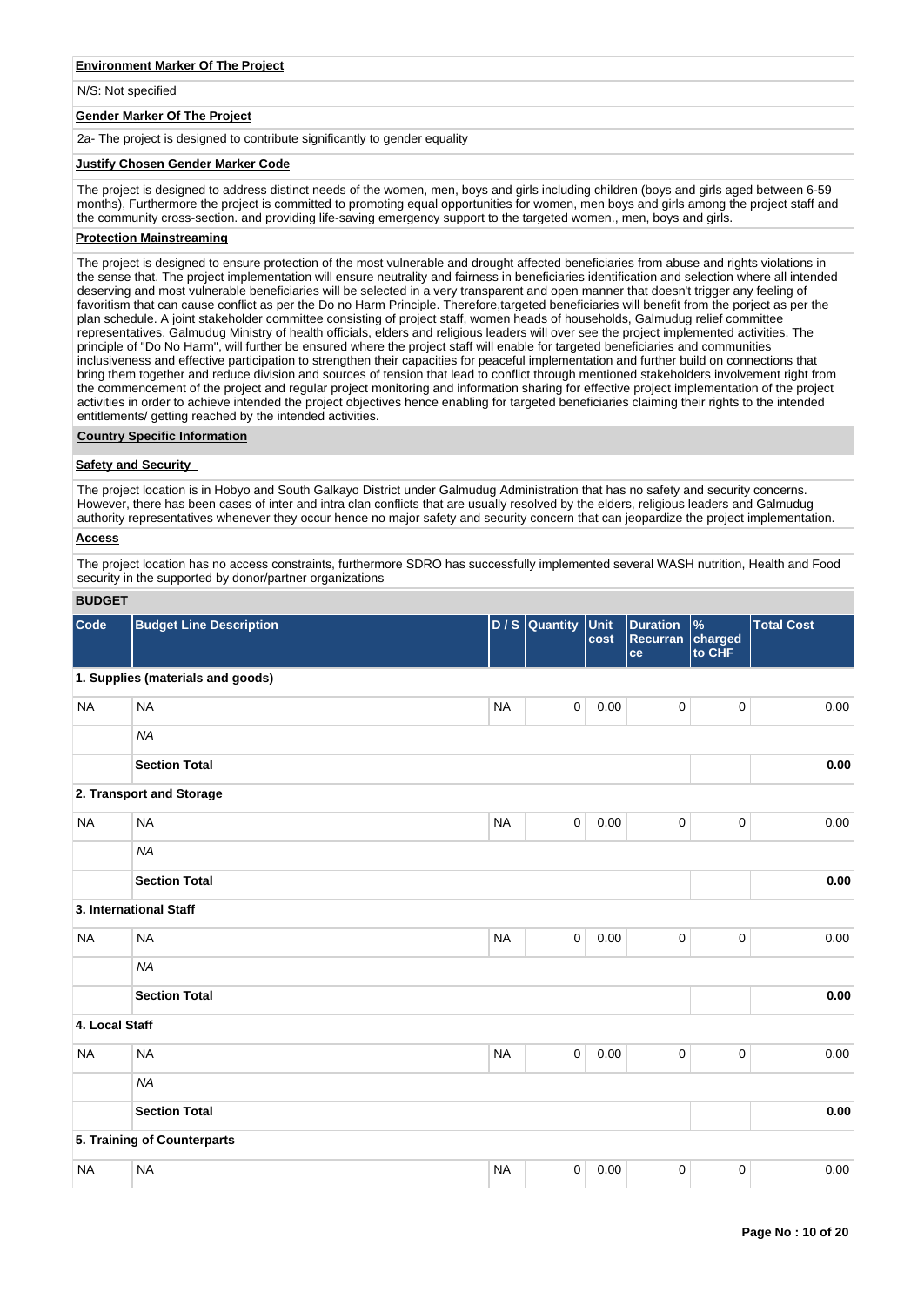# **Environment Marker Of The Project**

N/S: Not specified

## **Gender Marker Of The Project**

2a- The project is designed to contribute significantly to gender equality

#### **Justify Chosen Gender Marker Code**

The project is designed to address distinct needs of the women, men, boys and girls including children (boys and girls aged between 6-59 months), Furthermore the project is committed to promoting equal opportunities for women, men boys and girls among the project staff and the community cross-section. and providing life-saving emergency support to the targeted women., men, boys and girls.

#### **Protection Mainstreaming**

The project is designed to ensure protection of the most vulnerable and drought affected beneficiaries from abuse and rights violations in the sense that. The project implementation will ensure neutrality and fairness in beneficiaries identification and selection where all intended deserving and most vulnerable beneficiaries will be selected in a very transparent and open manner that doesn't trigger any feeling of favoritism that can cause conflict as per the Do no Harm Principle. Therefore,targeted beneficiaries will benefit from the porject as per the plan schedule. A joint stakeholder committee consisting of project staff, women heads of households, Galmudug relief committee representatives, Galmudug Ministry of health officials, elders and religious leaders will over see the project implemented activities. The principle of "Do No Harm", will further be ensured where the project staff will enable for targeted beneficiaries and communities inclusiveness and effective participation to strengthen their capacities for peaceful implementation and further build on connections that bring them together and reduce division and sources of tension that lead to conflict through mentioned stakeholders involvement right from the commencement of the project and regular project monitoring and information sharing for effective project implementation of the project activities in order to achieve intended the project objectives hence enabling for targeted beneficiaries claiming their rights to the intended entitlements/ getting reached by the intended activities.

# **Country Specific Information**

# **Safety and Security**

The project location is in Hobyo and South Galkayo District under Galmudug Administration that has no safety and security concerns. However, there has been cases of inter and intra clan conflicts that are usually resolved by the elders, religious leaders and Galmudug authority representatives whenever they occur hence no major safety and security concern that can jeopardize the project implementation.

# **Access**

The project location has no access constraints, furthermore SDRO has successfully implemented several WASH nutrition, Health and Food security in the supported by donor/partner organizations

# **BUDGET**

| Code           | <b>Budget Line Description</b>    |           | $D/S$ Quantity | Unit<br>cost | <b>Duration</b><br>Recurran charged<br>ce | $\frac{9}{6}$<br>to CHF | <b>Total Cost</b> |
|----------------|-----------------------------------|-----------|----------------|--------------|-------------------------------------------|-------------------------|-------------------|
|                | 1. Supplies (materials and goods) |           |                |              |                                           |                         |                   |
| <b>NA</b>      | <b>NA</b>                         | <b>NA</b> | $\mathsf 0$    | 0.00         | 0                                         | 0                       | 0.00              |
|                | <b>NA</b>                         |           |                |              |                                           |                         |                   |
|                | <b>Section Total</b>              |           |                |              |                                           |                         | 0.00              |
|                | 2. Transport and Storage          |           |                |              |                                           |                         |                   |
| <b>NA</b>      | <b>NA</b>                         | <b>NA</b> | $\mathbf 0$    | 0.00         | $\mathsf 0$                               | $\pmb{0}$               | 0.00              |
|                | <b>NA</b>                         |           |                |              |                                           |                         |                   |
|                | <b>Section Total</b>              |           |                |              |                                           |                         | 0.00              |
|                | 3. International Staff            |           |                |              |                                           |                         |                   |
| <b>NA</b>      | <b>NA</b>                         | <b>NA</b> | $\mathsf 0$    | 0.00         | $\mathsf 0$                               | $\pmb{0}$               | 0.00              |
|                | <b>NA</b>                         |           |                |              |                                           |                         |                   |
|                | <b>Section Total</b>              |           |                |              |                                           |                         | 0.00              |
| 4. Local Staff |                                   |           |                |              |                                           |                         |                   |
| <b>NA</b>      | <b>NA</b>                         | <b>NA</b> | 0              | 0.00         | 0                                         | 0                       | 0.00              |
|                | <b>NA</b>                         |           |                |              |                                           |                         |                   |
|                | <b>Section Total</b>              |           |                |              |                                           |                         | 0.00              |
|                | 5. Training of Counterparts       |           |                |              |                                           |                         |                   |
| <b>NA</b>      | <b>NA</b>                         | <b>NA</b> | 0              | 0.00         | 0                                         | $\mathbf 0$             | 0.00              |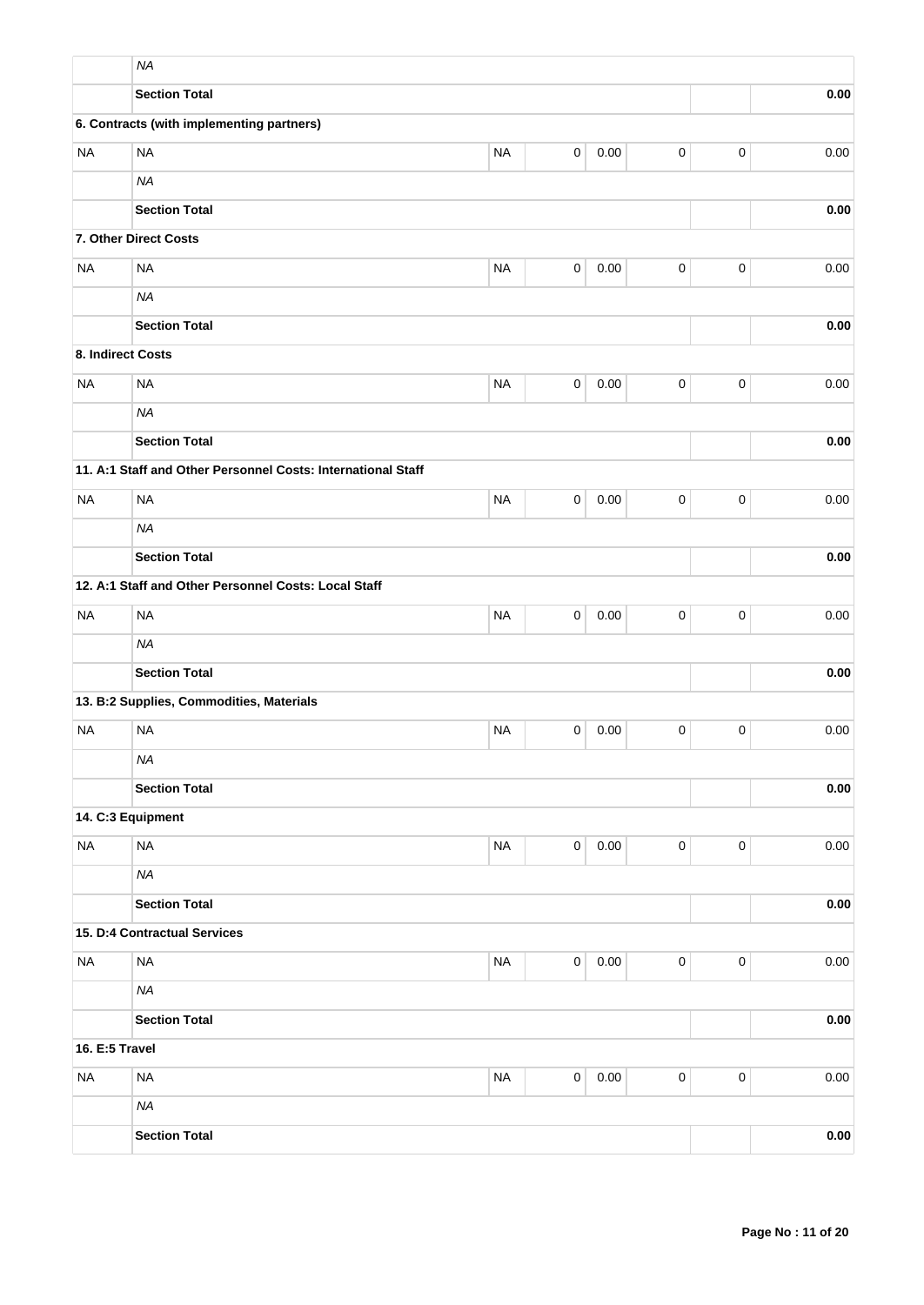|                   | <b>NA</b>                                                    |           |             |          |             |             |          |
|-------------------|--------------------------------------------------------------|-----------|-------------|----------|-------------|-------------|----------|
|                   | <b>Section Total</b>                                         |           |             |          |             |             | 0.00     |
|                   | 6. Contracts (with implementing partners)                    |           |             |          |             |             |          |
| <b>NA</b>         | <b>NA</b>                                                    | <b>NA</b> | 0           | 0.00     | $\pmb{0}$   | $\pmb{0}$   | 0.00     |
|                   | <b>NA</b>                                                    |           |             |          |             |             |          |
|                   | <b>Section Total</b>                                         |           |             |          |             |             | 0.00     |
|                   | 7. Other Direct Costs                                        |           |             |          |             |             |          |
| <b>NA</b>         | <b>NA</b>                                                    | <b>NA</b> | $\pmb{0}$   | 0.00     | $\pmb{0}$   | $\pmb{0}$   | 0.00     |
|                   | <b>NA</b>                                                    |           |             |          |             |             |          |
|                   | <b>Section Total</b>                                         |           |             |          |             |             | 0.00     |
| 8. Indirect Costs |                                                              |           |             |          |             |             |          |
| <b>NA</b>         | <b>NA</b>                                                    | <b>NA</b> | 0           | 0.00     | $\pmb{0}$   | $\mathbf 0$ | 0.00     |
|                   | <b>NA</b>                                                    |           |             |          |             |             |          |
|                   | <b>Section Total</b>                                         |           |             |          |             |             | 0.00     |
|                   | 11. A:1 Staff and Other Personnel Costs: International Staff |           |             |          |             |             |          |
| <b>NA</b>         | <b>NA</b>                                                    | <b>NA</b> | 0           | 0.00     | $\pmb{0}$   | $\mathbf 0$ | 0.00     |
|                   | <b>NA</b>                                                    |           |             |          |             |             |          |
|                   | <b>Section Total</b>                                         |           |             |          |             |             | 0.00     |
|                   | 12. A:1 Staff and Other Personnel Costs: Local Staff         |           |             |          |             |             |          |
| <b>NA</b>         | <b>NA</b>                                                    | <b>NA</b> | 0           | 0.00     | $\pmb{0}$   | $\pmb{0}$   | 0.00     |
|                   | <b>NA</b>                                                    |           |             |          |             |             |          |
|                   | <b>Section Total</b>                                         |           |             |          |             |             | 0.00     |
|                   | 13. B:2 Supplies, Commodities, Materials                     |           |             |          |             |             |          |
| <b>NA</b>         | <b>NA</b>                                                    | <b>NA</b> | 0           | 0.00     | 0           | $\mathbf 0$ | 0.00     |
|                   | <b>NA</b>                                                    |           |             |          |             |             |          |
|                   | <b>Section Total</b>                                         |           |             |          |             |             | 0.00     |
|                   | 14. C:3 Equipment                                            |           |             |          |             |             |          |
| <b>NA</b>         | <b>NA</b>                                                    | <b>NA</b> | $\mathsf 0$ | 0.00     | $\pmb{0}$   | $\pmb{0}$   | 0.00     |
|                   | <b>NA</b>                                                    |           |             |          |             |             |          |
|                   | <b>Section Total</b>                                         |           |             |          |             |             | 0.00     |
|                   | 15. D:4 Contractual Services                                 |           |             |          |             |             |          |
| <b>NA</b>         | <b>NA</b>                                                    | <b>NA</b> | $\mathsf 0$ | $0.00\,$ | $\pmb{0}$   | $\mathbf 0$ | $0.00\,$ |
|                   | <b>NA</b>                                                    |           |             |          |             |             |          |
|                   | <b>Section Total</b>                                         |           |             |          |             |             | 0.00     |
| 16. E:5 Travel    |                                                              |           |             |          |             |             |          |
| <b>NA</b>         | <b>NA</b>                                                    | $\sf NA$  | $\mathsf 0$ | 0.00     | $\mathsf 0$ | $\pmb{0}$   | $0.00\,$ |
|                   | <b>NA</b>                                                    |           |             |          |             |             |          |
|                   | <b>Section Total</b>                                         |           |             |          |             |             | 0.00     |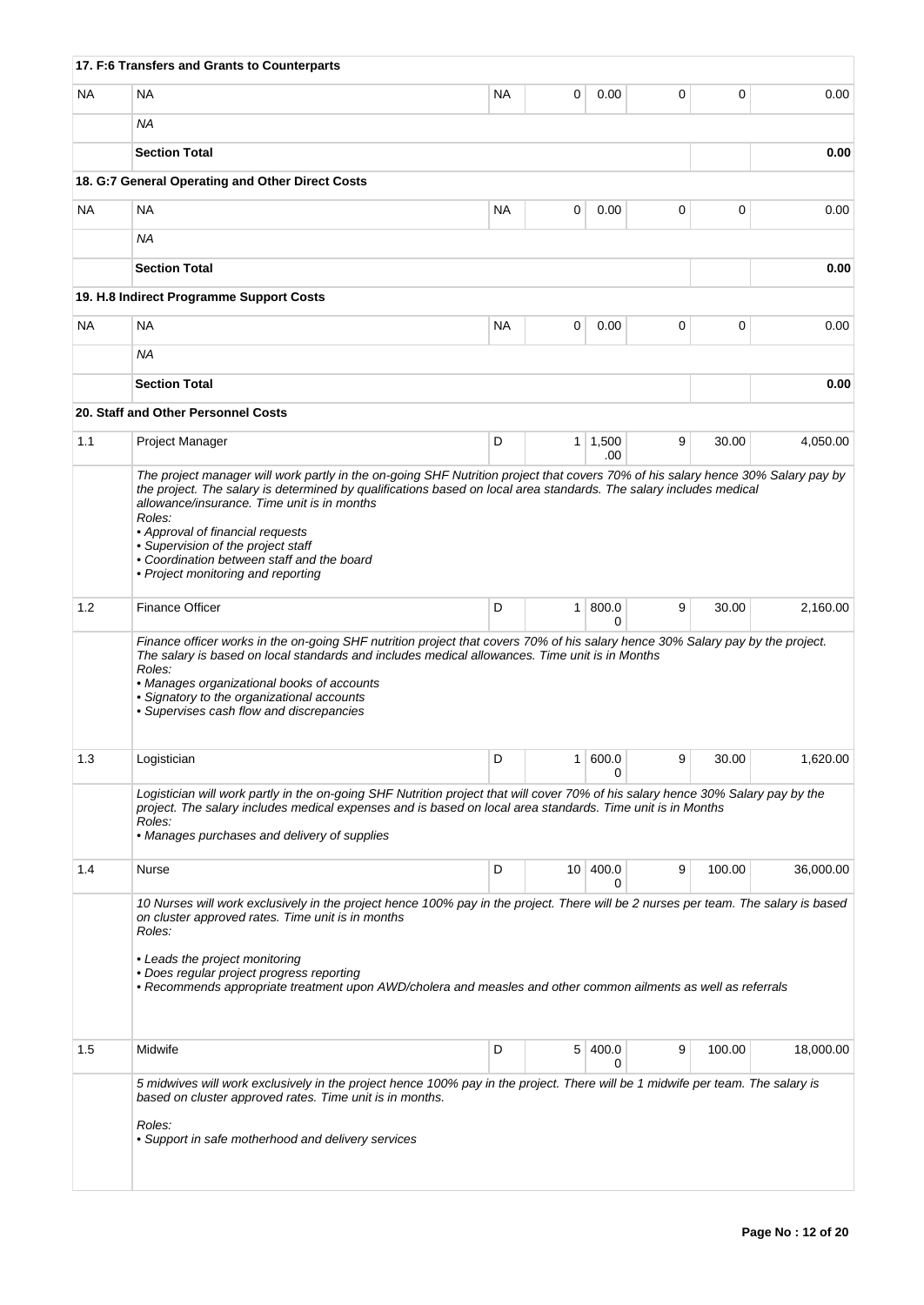|           | 17. F:6 Transfers and Grants to Counterparts                                                                                                                                                                                                                                                                                                                                                       |           |                |                       |             |        |           |
|-----------|----------------------------------------------------------------------------------------------------------------------------------------------------------------------------------------------------------------------------------------------------------------------------------------------------------------------------------------------------------------------------------------------------|-----------|----------------|-----------------------|-------------|--------|-----------|
| <b>NA</b> | <b>NA</b>                                                                                                                                                                                                                                                                                                                                                                                          | NA.       | 0              | 0.00                  | 0           | 0      | 0.00      |
|           | ΝA                                                                                                                                                                                                                                                                                                                                                                                                 |           |                |                       |             |        |           |
|           | <b>Section Total</b>                                                                                                                                                                                                                                                                                                                                                                               |           |                |                       |             |        | 0.00      |
|           | 18. G:7 General Operating and Other Direct Costs                                                                                                                                                                                                                                                                                                                                                   |           |                |                       |             |        |           |
| <b>NA</b> | NA                                                                                                                                                                                                                                                                                                                                                                                                 | <b>NA</b> | 0              | 0.00                  | 0           | 0      | 0.00      |
|           | ΝA                                                                                                                                                                                                                                                                                                                                                                                                 |           |                |                       |             |        |           |
|           | <b>Section Total</b>                                                                                                                                                                                                                                                                                                                                                                               |           |                |                       |             |        | 0.00      |
|           | 19. H.8 Indirect Programme Support Costs                                                                                                                                                                                                                                                                                                                                                           |           |                |                       |             |        |           |
| <b>NA</b> | <b>NA</b>                                                                                                                                                                                                                                                                                                                                                                                          | NA        | 0              | 0.00                  | $\mathbf 0$ | 0      | 0.00      |
|           | ΝA                                                                                                                                                                                                                                                                                                                                                                                                 |           |                |                       |             |        |           |
|           | <b>Section Total</b>                                                                                                                                                                                                                                                                                                                                                                               |           |                |                       |             |        | 0.00      |
|           | 20. Staff and Other Personnel Costs                                                                                                                                                                                                                                                                                                                                                                |           |                |                       |             |        |           |
| 1.1       | Project Manager                                                                                                                                                                                                                                                                                                                                                                                    | D         |                | $1 \mid 1,500$<br>.00 | 9           | 30.00  | 4,050.00  |
|           | the project. The salary is determined by qualifications based on local area standards. The salary includes medical<br>allowance/insurance. Time unit is in months<br>Roles:<br>• Approval of financial requests<br>• Supervision of the project staff<br>• Coordination between staff and the board<br>• Project monitoring and reporting                                                          |           |                |                       |             |        |           |
| 1.2       | <b>Finance Officer</b>                                                                                                                                                                                                                                                                                                                                                                             | D         | $\mathbf{1}$   | 800.0<br>$\Omega$     | 9           | 30.00  | 2,160.00  |
|           | Finance officer works in the on-going SHF nutrition project that covers 70% of his salary hence 30% Salary pay by the project.<br>The salary is based on local standards and includes medical allowances. Time unit is in Months<br>Roles:<br>• Manages organizational books of accounts<br>• Signatory to the organizational accounts<br>• Supervises cash flow and discrepancies                 |           |                |                       |             |        |           |
| 1.3       | Logistician                                                                                                                                                                                                                                                                                                                                                                                        | D         |                | 1   600.0<br>0        | 9           | 30.00  | 1,620.00  |
|           | Logistician will work partly in the on-going SHF Nutrition project that will cover 70% of his salary hence 30% Salary pay by the<br>project. The salary includes medical expenses and is based on local area standards. Time unit is in Months<br>Roles:<br>• Manages purchases and delivery of supplies                                                                                           |           |                |                       |             |        |           |
| 1.4       | Nurse                                                                                                                                                                                                                                                                                                                                                                                              | D         |                | 10 400.0<br>0         | 9           | 100.00 | 36,000.00 |
|           | 10 Nurses will work exclusively in the project hence 100% pay in the project. There will be 2 nurses per team. The salary is based<br>on cluster approved rates. Time unit is in months<br>Roles:<br>• Leads the project monitoring<br>• Does regular project progress reporting<br>• Recommends appropriate treatment upon AWD/cholera and measles and other common ailments as well as referrals |           |                |                       |             |        |           |
| 1.5       | Midwife                                                                                                                                                                                                                                                                                                                                                                                            | D         | 5 <sup>1</sup> | 400.0<br>0            | 9           | 100.00 | 18,000.00 |
|           | 5 midwives will work exclusively in the project hence 100% pay in the project. There will be 1 midwife per team. The salary is<br>based on cluster approved rates. Time unit is in months.<br>Roles:<br>• Support in safe motherhood and delivery services                                                                                                                                         |           |                |                       |             |        |           |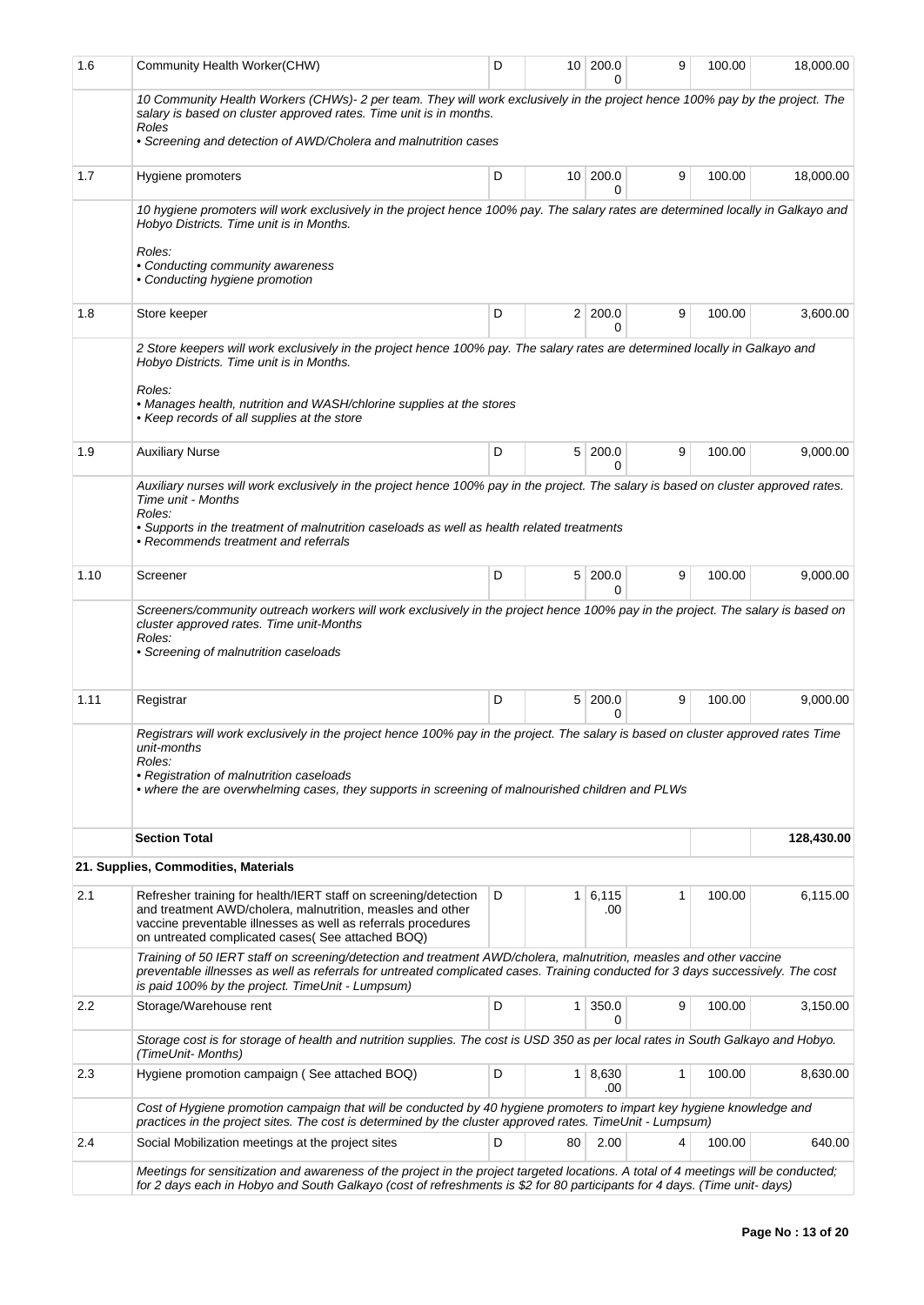| 1.6  | Community Health Worker(CHW)                                                                                                                                                                                                                                                                                | D |                | 10 200.0<br>U     | 9 | 100.00 | 18,000.00  |
|------|-------------------------------------------------------------------------------------------------------------------------------------------------------------------------------------------------------------------------------------------------------------------------------------------------------------|---|----------------|-------------------|---|--------|------------|
|      | 10 Community Health Workers (CHWs)- 2 per team. They will work exclusively in the project hence 100% pay by the project. The<br>salary is based on cluster approved rates. Time unit is in months.<br>Roles<br>• Screening and detection of AWD/Cholera and malnutrition cases                              |   |                |                   |   |        |            |
| 1.7  | Hygiene promoters                                                                                                                                                                                                                                                                                           | D |                | 10 200.0<br>0     | 9 | 100.00 | 18,000.00  |
|      | 10 hygiene promoters will work exclusively in the project hence 100% pay. The salary rates are determined locally in Galkayo and<br>Hobyo Districts. Time unit is in Months.<br>Roles:<br>• Conducting community awareness<br>• Conducting hygiene promotion                                                |   |                |                   |   |        |            |
| 1.8  | Store keeper                                                                                                                                                                                                                                                                                                | D | 2 <sup>1</sup> | 200.0             | 9 | 100.00 | 3,600.00   |
|      | 2 Store keepers will work exclusively in the project hence 100% pay. The salary rates are determined locally in Galkayo and<br>Hobyo Districts. Time unit is in Months.<br>Roles:<br>• Manages health, nutrition and WASH/chlorine supplies at the stores<br>• Keep records of all supplies at the store    |   |                |                   |   |        |            |
| 1.9  | <b>Auxiliary Nurse</b>                                                                                                                                                                                                                                                                                      | D | 5 <sup>1</sup> | 200.0<br>0        | 9 | 100.00 | 9,000.00   |
|      | Auxiliary nurses will work exclusively in the project hence 100% pay in the project. The salary is based on cluster approved rates.<br>Time unit - Months<br>Roles:<br>• Supports in the treatment of malnutrition caseloads as well as health related treatments<br>• Recommends treatment and referrals   |   |                |                   |   |        |            |
| 1.10 | Screener                                                                                                                                                                                                                                                                                                    | D | 5 <sup>1</sup> | 200.0<br>U        | 9 | 100.00 | 9,000.00   |
|      | Screeners/community outreach workers will work exclusively in the project hence 100% pay in the project. The salary is based on<br>cluster approved rates. Time unit-Months<br>Roles:<br>• Screening of malnutrition caseloads                                                                              |   |                |                   |   |        |            |
| 1.11 | Registrar                                                                                                                                                                                                                                                                                                   | D | 5 <sup>1</sup> | 200.0<br>0        | 9 | 100.00 | 9,000.00   |
|      | Registrars will work exclusively in the project hence 100% pay in the project. The salary is based on cluster approved rates Time<br>unit-months<br>Roles:<br>• Registration of malnutrition caseloads<br>• where the are overwhelming cases, they supports in screening of malnourished children and PLWs  |   |                |                   |   |        |            |
|      | <b>Section Total</b>                                                                                                                                                                                                                                                                                        |   |                |                   |   |        | 128,430.00 |
|      | 21. Supplies, Commodities, Materials                                                                                                                                                                                                                                                                        |   |                |                   |   |        |            |
| 2.1  | Refresher training for health/IERT staff on screening/detection<br>and treatment AWD/cholera, malnutrition, measles and other<br>vaccine preventable illnesses as well as referrals procedures<br>on untreated complicated cases (See attached BOQ)                                                         | D | 1              | 6,115<br>.00      | 1 | 100.00 | 6,115.00   |
|      | Training of 50 IERT staff on screening/detection and treatment AWD/cholera, malnutrition, measles and other vaccine<br>preventable illnesses as well as referrals for untreated complicated cases. Training conducted for 3 days successively. The cost<br>is paid 100% by the project. TimeUnit - Lumpsum) |   |                |                   |   |        |            |
| 2.2  | Storage/Warehouse rent                                                                                                                                                                                                                                                                                      | D | $\mathbf{1}$   | 350.0<br>0        | 9 | 100.00 | 3,150.00   |
|      | Storage cost is for storage of health and nutrition supplies. The cost is USD 350 as per local rates in South Galkayo and Hobyo.<br>(TimeUnit- Months)                                                                                                                                                      |   |                |                   |   |        |            |
| 2.3  | Hygiene promotion campaign (See attached BOQ)                                                                                                                                                                                                                                                               | D |                | 1   8,630<br>.00. | 1 | 100.00 | 8,630.00   |
|      | Cost of Hygiene promotion campaign that will be conducted by 40 hygiene promoters to impart key hygiene knowledge and<br>practices in the project sites. The cost is determined by the cluster approved rates. TimeUnit - Lumpsum)                                                                          |   |                |                   |   |        |            |
| 2.4  | Social Mobilization meetings at the project sites                                                                                                                                                                                                                                                           | D | 80             | 2.00              | 4 | 100.00 | 640.00     |
|      | Meetings for sensitization and awareness of the project in the project targeted locations. A total of 4 meetings will be conducted;<br>for 2 days each in Hobyo and South Galkayo (cost of refreshments is \$2 for 80 participants for 4 days. (Time unit-days)                                             |   |                |                   |   |        |            |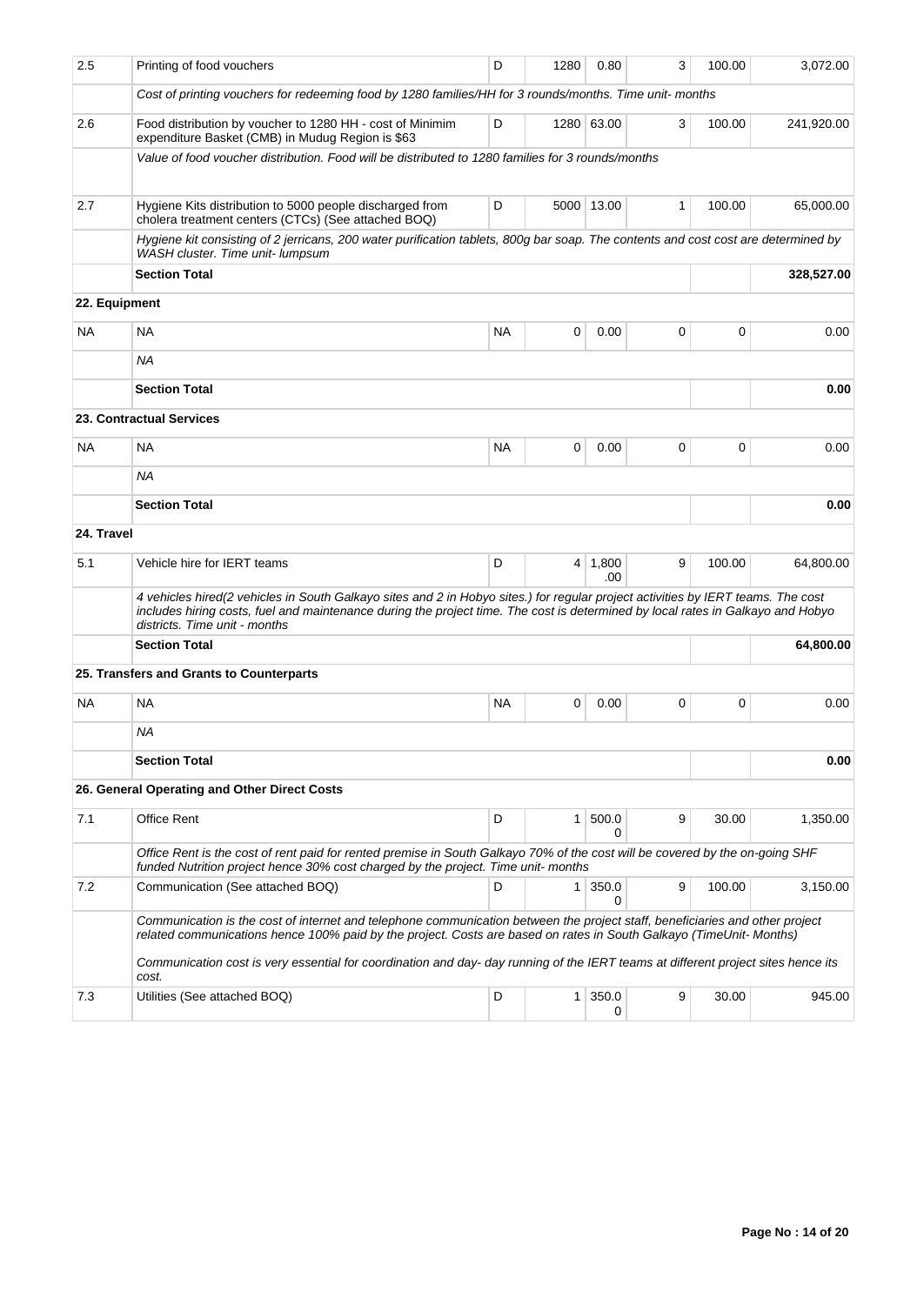| 2.5           | Printing of food vouchers                                                                                                                                                                                                                                                                            | D         | 1280         | 0.80                  | 3 | 100.00 | 3,072.00   |
|---------------|------------------------------------------------------------------------------------------------------------------------------------------------------------------------------------------------------------------------------------------------------------------------------------------------------|-----------|--------------|-----------------------|---|--------|------------|
|               | Cost of printing vouchers for redeeming food by 1280 families/HH for 3 rounds/months. Time unit- months                                                                                                                                                                                              |           |              |                       |   |        |            |
| 2.6           | Food distribution by voucher to 1280 HH - cost of Minimim<br>expenditure Basket (CMB) in Muduq Region is \$63                                                                                                                                                                                        | D         |              | 1280 63.00            | 3 | 100.00 | 241,920.00 |
|               | Value of food voucher distribution. Food will be distributed to 1280 families for 3 rounds/months                                                                                                                                                                                                    |           |              |                       |   |        |            |
| 2.7           | Hygiene Kits distribution to 5000 people discharged from                                                                                                                                                                                                                                             | D         | 5000         | 13.00                 | 1 | 100.00 | 65,000.00  |
|               | cholera treatment centers (CTCs) (See attached BOQ)<br>Hygiene kit consisting of 2 jerricans, 200 water purification tablets, 800g bar soap. The contents and cost cost are determined by                                                                                                            |           |              |                       |   |        |            |
|               | WASH cluster. Time unit- lumpsum                                                                                                                                                                                                                                                                     |           |              |                       |   |        |            |
|               | <b>Section Total</b>                                                                                                                                                                                                                                                                                 |           |              |                       |   |        | 328,527.00 |
| 22. Equipment |                                                                                                                                                                                                                                                                                                      |           |              |                       |   |        |            |
| NA.           | <b>NA</b>                                                                                                                                                                                                                                                                                            | <b>NA</b> | 0            | 0.00                  | 0 | 0      | 0.00       |
|               | ΝA                                                                                                                                                                                                                                                                                                   |           |              |                       |   |        |            |
|               | <b>Section Total</b>                                                                                                                                                                                                                                                                                 |           |              |                       |   |        | 0.00       |
|               | <b>23. Contractual Services</b>                                                                                                                                                                                                                                                                      |           |              |                       |   |        |            |
| <b>NA</b>     | <b>NA</b>                                                                                                                                                                                                                                                                                            | <b>NA</b> | 0            | 0.00                  | 0 | 0      | 0.00       |
|               | ΝA                                                                                                                                                                                                                                                                                                   |           |              |                       |   |        |            |
|               | <b>Section Total</b>                                                                                                                                                                                                                                                                                 |           |              |                       |   |        | 0.00       |
| 24. Travel    |                                                                                                                                                                                                                                                                                                      |           |              |                       |   |        |            |
| 5.1           | Vehicle hire for IERT teams                                                                                                                                                                                                                                                                          | D         |              | $4 \mid 1,800$<br>.00 | 9 | 100.00 | 64,800.00  |
|               | 4 vehicles hired(2 vehicles in South Galkayo sites and 2 in Hobyo sites.) for regular project activities by IERT teams. The cost<br>includes hiring costs, fuel and maintenance during the project time. The cost is determined by local rates in Galkayo and Hobyo<br>districts. Time unit - months |           |              |                       |   |        |            |
|               | <b>Section Total</b>                                                                                                                                                                                                                                                                                 |           |              |                       |   |        | 64,800.00  |
|               | 25. Transfers and Grants to Counterparts                                                                                                                                                                                                                                                             |           |              |                       |   |        |            |
| NA.           | <b>NA</b>                                                                                                                                                                                                                                                                                            | <b>NA</b> | 0            | 0.00                  | 0 | 0      | 0.00       |
|               | ΝA                                                                                                                                                                                                                                                                                                   |           |              |                       |   |        |            |
|               | <b>Section Total</b>                                                                                                                                                                                                                                                                                 |           |              |                       |   |        | 0.00       |
|               | 26. General Operating and Other Direct Costs                                                                                                                                                                                                                                                         |           |              |                       |   |        |            |
| 7.1           | <b>Office Rent</b>                                                                                                                                                                                                                                                                                   | D         | $\mathbf{1}$ | 500.0                 | 9 | 30.00  | 1,350.00   |
|               |                                                                                                                                                                                                                                                                                                      |           |              | 0                     |   |        |            |
|               | Office Rent is the cost of rent paid for rented premise in South Galkayo 70% of the cost will be covered by the on-going SHF<br>funded Nutrition project hence 30% cost charged by the project. Time unit- months                                                                                    |           |              |                       |   |        |            |
| 7.2           | Communication (See attached BOQ)                                                                                                                                                                                                                                                                     | D         | $\mathbf{1}$ | 350.0<br>0            | 9 | 100.00 | 3,150.00   |
|               | Communication is the cost of internet and telephone communication between the project staff, beneficiaries and other project<br>related communications hence 100% paid by the project. Costs are based on rates in South Galkayo (TimeUnit-Months)                                                   |           |              |                       |   |        |            |
|               | Communication cost is very essential for coordination and day-day running of the IERT teams at different project sites hence its<br>cost.                                                                                                                                                            |           |              |                       |   |        |            |
| 7.3           | Utilities (See attached BOQ)                                                                                                                                                                                                                                                                         | D         | $\mathbf{1}$ | 350.0<br>0            | 9 | 30.00  | 945.00     |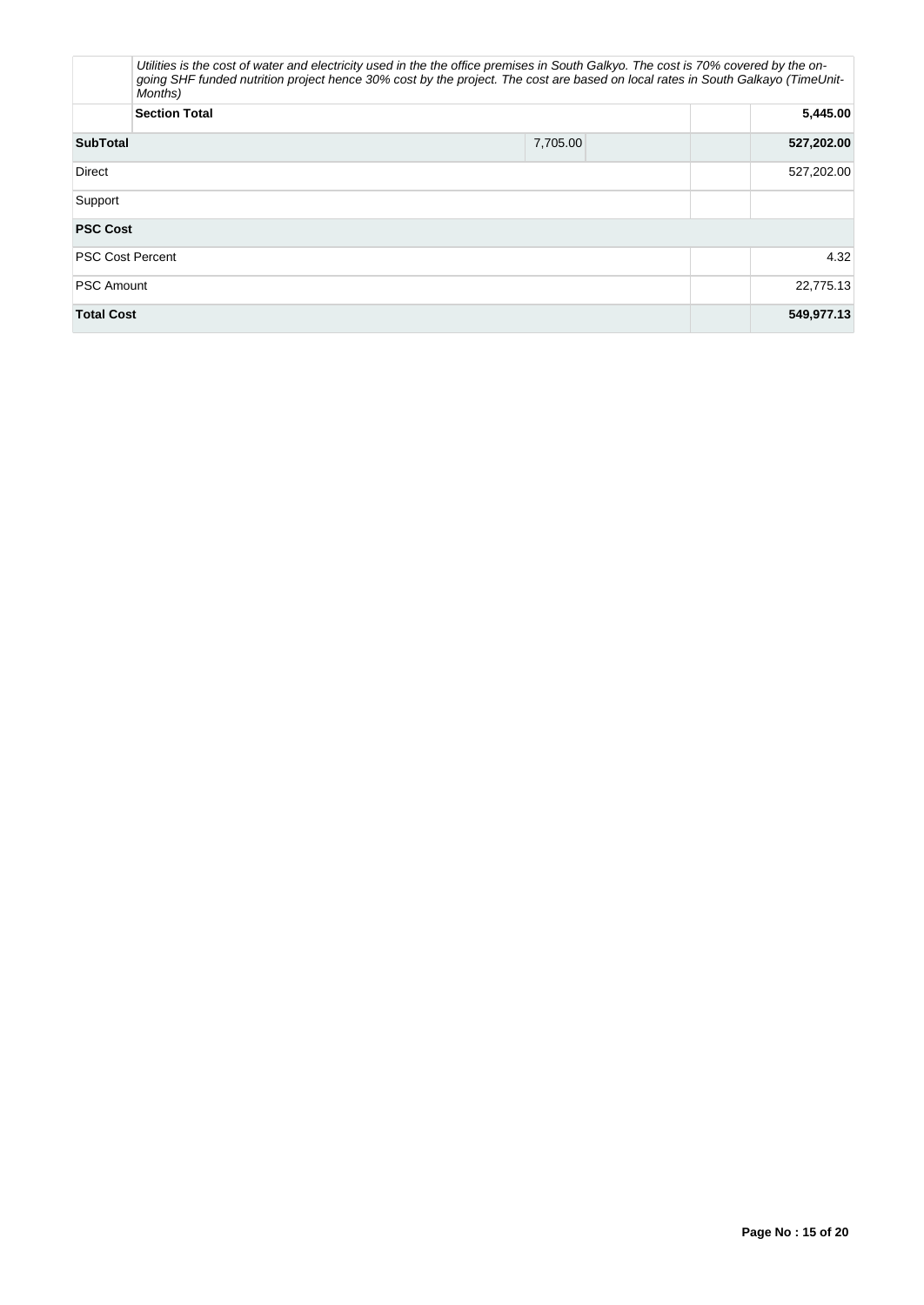| Months)                 | Utilities is the cost of water and electricity used in the the office premises in South Galkyo. The cost is 70% covered by the on-<br>going SHF funded nutrition project hence 30% cost by the project. The cost are based on local rates in South Galkayo (TimeUnit- |            |
|-------------------------|-----------------------------------------------------------------------------------------------------------------------------------------------------------------------------------------------------------------------------------------------------------------------|------------|
| <b>Section Total</b>    |                                                                                                                                                                                                                                                                       | 5,445.00   |
| <b>SubTotal</b>         | 7,705.00                                                                                                                                                                                                                                                              | 527,202.00 |
| <b>Direct</b>           |                                                                                                                                                                                                                                                                       | 527,202.00 |
| Support                 |                                                                                                                                                                                                                                                                       |            |
| <b>PSC Cost</b>         |                                                                                                                                                                                                                                                                       |            |
| <b>PSC Cost Percent</b> |                                                                                                                                                                                                                                                                       | 4.32       |
| <b>PSC Amount</b>       |                                                                                                                                                                                                                                                                       | 22,775.13  |
| <b>Total Cost</b>       |                                                                                                                                                                                                                                                                       | 549,977.13 |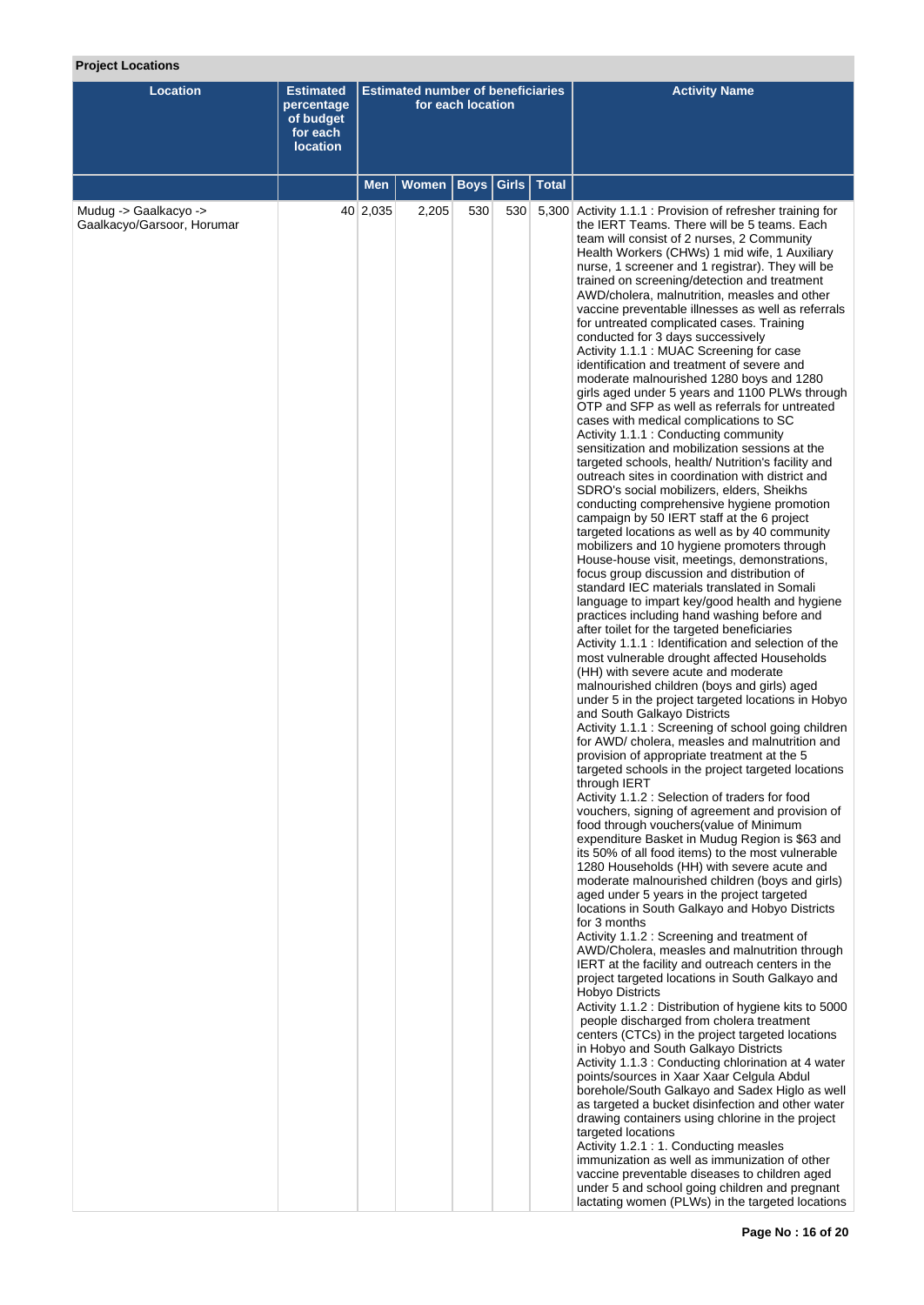# **Project Locations**

| <b>Location</b>                                     | <b>Estimated</b><br>percentage<br>of budget<br>for each<br><b>location</b> | <b>Estimated number of beneficiaries</b><br>for each location |              |             |     |               | <b>Activity Name</b>                                                                                                                                                                                                                                                                                                                                                                                                                                                                                                                                                                                                                                                                                                                                                                                                                                                                                                                                                                                                                                                                                                                                                                                                                                                                                                                                                                                                                                                                                                                                                                                                                                                                                                                                                                                                                                                                                                                                                                                                                                                                                                                                                                                                                                                                                                                                                                                                                                                                                                                                                                                                                                                                                                                                                                                                                                                                                                                                                                                                                                                                                                                                                                                                                                                                                                                                                                                                                                                                               |
|-----------------------------------------------------|----------------------------------------------------------------------------|---------------------------------------------------------------|--------------|-------------|-----|---------------|----------------------------------------------------------------------------------------------------------------------------------------------------------------------------------------------------------------------------------------------------------------------------------------------------------------------------------------------------------------------------------------------------------------------------------------------------------------------------------------------------------------------------------------------------------------------------------------------------------------------------------------------------------------------------------------------------------------------------------------------------------------------------------------------------------------------------------------------------------------------------------------------------------------------------------------------------------------------------------------------------------------------------------------------------------------------------------------------------------------------------------------------------------------------------------------------------------------------------------------------------------------------------------------------------------------------------------------------------------------------------------------------------------------------------------------------------------------------------------------------------------------------------------------------------------------------------------------------------------------------------------------------------------------------------------------------------------------------------------------------------------------------------------------------------------------------------------------------------------------------------------------------------------------------------------------------------------------------------------------------------------------------------------------------------------------------------------------------------------------------------------------------------------------------------------------------------------------------------------------------------------------------------------------------------------------------------------------------------------------------------------------------------------------------------------------------------------------------------------------------------------------------------------------------------------------------------------------------------------------------------------------------------------------------------------------------------------------------------------------------------------------------------------------------------------------------------------------------------------------------------------------------------------------------------------------------------------------------------------------------------------------------------------------------------------------------------------------------------------------------------------------------------------------------------------------------------------------------------------------------------------------------------------------------------------------------------------------------------------------------------------------------------------------------------------------------------------------------------------------------------|
|                                                     |                                                                            | Men                                                           | <b>Women</b> | <b>Boys</b> |     | Girls   Total |                                                                                                                                                                                                                                                                                                                                                                                                                                                                                                                                                                                                                                                                                                                                                                                                                                                                                                                                                                                                                                                                                                                                                                                                                                                                                                                                                                                                                                                                                                                                                                                                                                                                                                                                                                                                                                                                                                                                                                                                                                                                                                                                                                                                                                                                                                                                                                                                                                                                                                                                                                                                                                                                                                                                                                                                                                                                                                                                                                                                                                                                                                                                                                                                                                                                                                                                                                                                                                                                                                    |
| Mudug -> Gaalkacyo -><br>Gaalkacyo/Garsoor, Horumar |                                                                            | 40 2,035                                                      | 2,205        | 530         | 530 |               | 5,300 Activity 1.1.1 : Provision of refresher training for<br>the IERT Teams. There will be 5 teams. Each<br>team will consist of 2 nurses, 2 Community<br>Health Workers (CHWs) 1 mid wife, 1 Auxiliary<br>nurse, 1 screener and 1 registrar). They will be<br>trained on screening/detection and treatment<br>AWD/cholera, malnutrition, measles and other<br>vaccine preventable illnesses as well as referrals<br>for untreated complicated cases. Training<br>conducted for 3 days successively<br>Activity 1.1.1 : MUAC Screening for case<br>identification and treatment of severe and<br>moderate malnourished 1280 boys and 1280<br>girls aged under 5 years and 1100 PLWs through<br>OTP and SFP as well as referrals for untreated<br>cases with medical complications to SC<br>Activity 1.1.1 : Conducting community<br>sensitization and mobilization sessions at the<br>targeted schools, health/ Nutrition's facility and<br>outreach sites in coordination with district and<br>SDRO's social mobilizers, elders, Sheikhs<br>conducting comprehensive hygiene promotion<br>campaign by 50 IERT staff at the 6 project<br>targeted locations as well as by 40 community<br>mobilizers and 10 hygiene promoters through<br>House-house visit, meetings, demonstrations,<br>focus group discussion and distribution of<br>standard IEC materials translated in Somali<br>language to impart key/good health and hygiene<br>practices including hand washing before and<br>after toilet for the targeted beneficiaries<br>Activity 1.1.1 : Identification and selection of the<br>most vulnerable drought affected Households<br>(HH) with severe acute and moderate<br>malnourished children (boys and girls) aged<br>under 5 in the project targeted locations in Hobyo<br>and South Galkayo Districts<br>Activity 1.1.1 : Screening of school going children<br>for AWD/ cholera, measles and malnutrition and<br>provision of appropriate treatment at the 5<br>targeted schools in the project targeted locations<br>through IERT<br>Activity 1.1.2 : Selection of traders for food<br>vouchers, signing of agreement and provision of<br>food through vouchers (value of Minimum<br>expenditure Basket in Mudug Region is \$63 and<br>its 50% of all food items) to the most vulnerable<br>1280 Households (HH) with severe acute and<br>moderate malnourished children (boys and girls)<br>aged under 5 years in the project targeted<br>locations in South Galkayo and Hobyo Districts<br>for 3 months<br>Activity 1.1.2 : Screening and treatment of<br>AWD/Cholera, measles and malnutrition through<br><b>IERT</b> at the facility and outreach centers in the<br>project targeted locations in South Galkayo and<br>Hobyo Districts<br>Activity 1.1.2 : Distribution of hygiene kits to 5000<br>people discharged from cholera treatment<br>centers (CTCs) in the project targeted locations<br>in Hobyo and South Galkayo Districts<br>Activity 1.1.3: Conducting chlorination at 4 water<br>points/sources in Xaar Xaar Celgula Abdul<br>borehole/South Galkayo and Sadex Higlo as well<br>as targeted a bucket disinfection and other water<br>drawing containers using chlorine in the project<br>targeted locations<br>Activity 1.2.1: 1. Conducting measles<br>immunization as well as immunization of other<br>vaccine preventable diseases to children aged<br>under 5 and school going children and pregnant<br>lactating women (PLWs) in the targeted locations |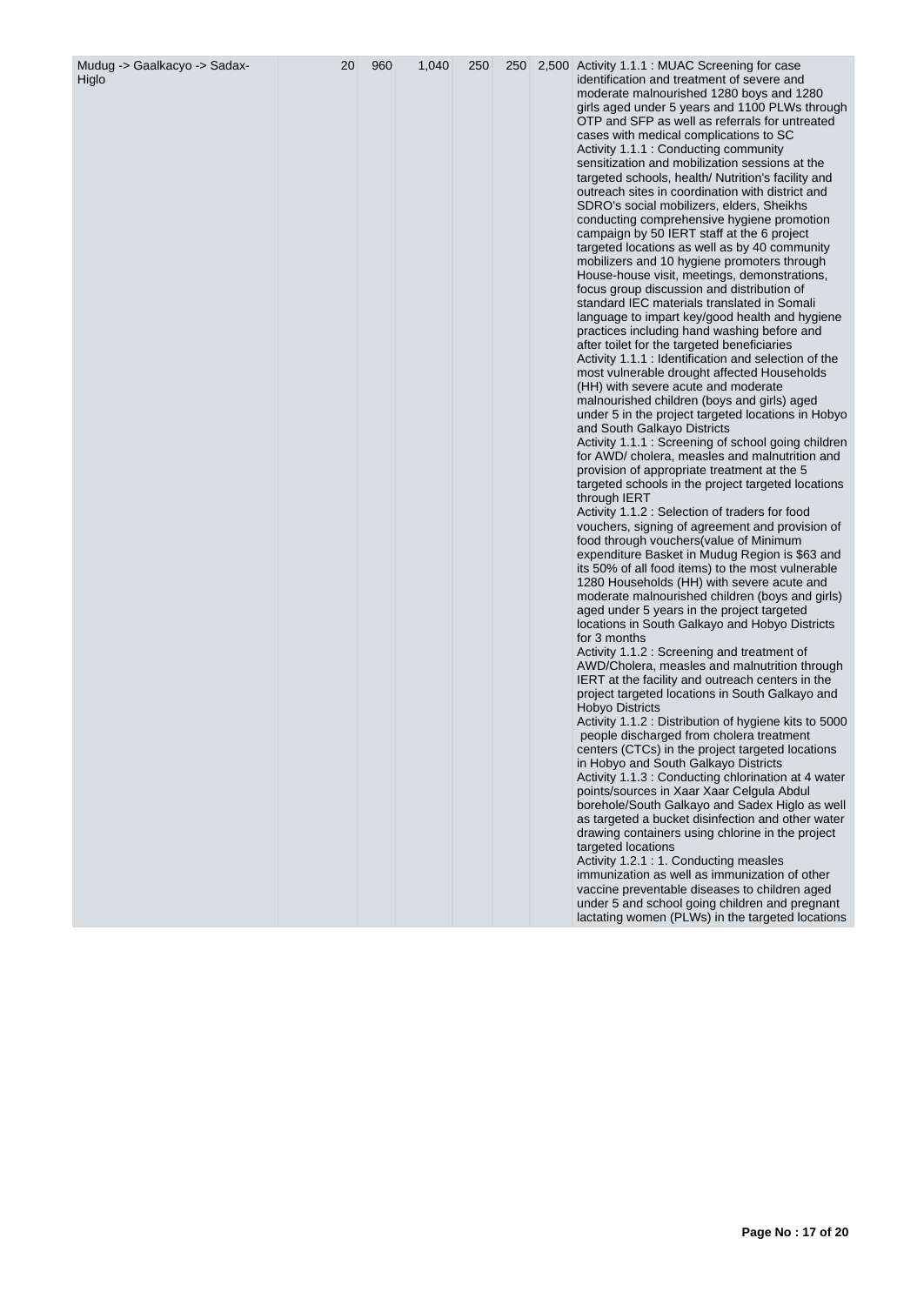| Mudug -> Gaalkacyo -> Sadax-<br>Higlo | 20 | 960 | 1,040 | 250 | 250 | 2,500 Activity 1.1.1 : MUAC Screening for case<br>identification and treatment of severe and<br>moderate malnourished 1280 boys and 1280<br>girls aged under 5 years and 1100 PLWs through<br>OTP and SFP as well as referrals for untreated<br>cases with medical complications to SC<br>Activity 1.1.1 : Conducting community<br>sensitization and mobilization sessions at the<br>targeted schools, health/ Nutrition's facility and<br>outreach sites in coordination with district and<br>SDRO's social mobilizers, elders, Sheikhs<br>conducting comprehensive hygiene promotion<br>campaign by 50 IERT staff at the 6 project<br>targeted locations as well as by 40 community<br>mobilizers and 10 hygiene promoters through<br>House-house visit, meetings, demonstrations,<br>focus group discussion and distribution of<br>standard IEC materials translated in Somali<br>language to impart key/good health and hygiene<br>practices including hand washing before and<br>after toilet for the targeted beneficiaries<br>Activity 1.1.1 : Identification and selection of the<br>most vulnerable drought affected Households<br>(HH) with severe acute and moderate<br>malnourished children (boys and girls) aged<br>under 5 in the project targeted locations in Hobyo<br>and South Galkayo Districts<br>Activity 1.1.1 : Screening of school going children<br>for AWD/ cholera, measles and malnutrition and<br>provision of appropriate treatment at the 5<br>targeted schools in the project targeted locations<br>through IERT<br>Activity 1.1.2 : Selection of traders for food<br>vouchers, signing of agreement and provision of<br>food through vouchers (value of Minimum<br>expenditure Basket in Mudug Region is \$63 and<br>its 50% of all food items) to the most vulnerable<br>1280 Households (HH) with severe acute and<br>moderate malnourished children (boys and girls)<br>aged under 5 years in the project targeted<br>locations in South Galkayo and Hobyo Districts<br>for 3 months<br>Activity 1.1.2 : Screening and treatment of<br>AWD/Cholera, measles and malnutrition through<br>IERT at the facility and outreach centers in the<br>project targeted locations in South Galkayo and<br><b>Hobyo Districts</b><br>Activity 1.1.2 : Distribution of hygiene kits to 5000<br>people discharged from cholera treatment<br>centers (CTCs) in the project targeted locations<br>in Hobyo and South Galkayo Districts<br>Activity 1.1.3 : Conducting chlorination at 4 water<br>points/sources in Xaar Xaar Celgula Abdul<br>borehole/South Galkayo and Sadex Higlo as well<br>as targeted a bucket disinfection and other water<br>drawing containers using chlorine in the project |
|---------------------------------------|----|-----|-------|-----|-----|----------------------------------------------------------------------------------------------------------------------------------------------------------------------------------------------------------------------------------------------------------------------------------------------------------------------------------------------------------------------------------------------------------------------------------------------------------------------------------------------------------------------------------------------------------------------------------------------------------------------------------------------------------------------------------------------------------------------------------------------------------------------------------------------------------------------------------------------------------------------------------------------------------------------------------------------------------------------------------------------------------------------------------------------------------------------------------------------------------------------------------------------------------------------------------------------------------------------------------------------------------------------------------------------------------------------------------------------------------------------------------------------------------------------------------------------------------------------------------------------------------------------------------------------------------------------------------------------------------------------------------------------------------------------------------------------------------------------------------------------------------------------------------------------------------------------------------------------------------------------------------------------------------------------------------------------------------------------------------------------------------------------------------------------------------------------------------------------------------------------------------------------------------------------------------------------------------------------------------------------------------------------------------------------------------------------------------------------------------------------------------------------------------------------------------------------------------------------------------------------------------------------------------------------------------------------------------------------------------------------------------------------------------------------------------------------------------------------------|
|                                       |    |     |       |     |     | targeted locations<br>Activity 1.2.1: 1. Conducting measles<br>immunization as well as immunization of other<br>vaccine preventable diseases to children aged<br>under 5 and school going children and pregnant<br>lactating women (PLWs) in the targeted locations                                                                                                                                                                                                                                                                                                                                                                                                                                                                                                                                                                                                                                                                                                                                                                                                                                                                                                                                                                                                                                                                                                                                                                                                                                                                                                                                                                                                                                                                                                                                                                                                                                                                                                                                                                                                                                                                                                                                                                                                                                                                                                                                                                                                                                                                                                                                                                                                                                                        |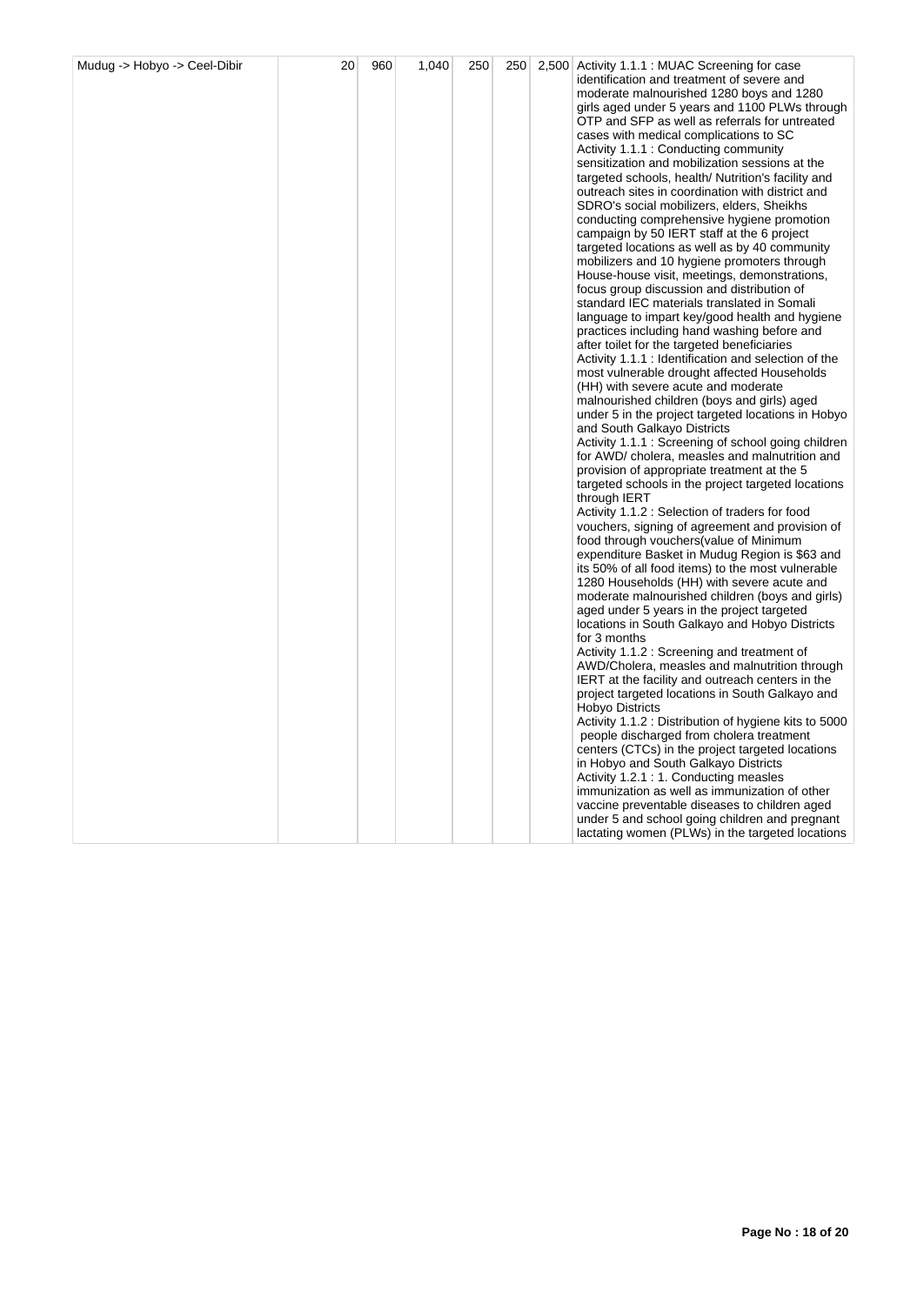| Mudug -> Hobyo -> Ceel-Dibir | 20 | 960 | 1,040 | 250 | 250 | 2,500 Activity 1.1.1 : MUAC Screening for case<br>identification and treatment of severe and<br>moderate malnourished 1280 boys and 1280<br>girls aged under 5 years and 1100 PLWs through<br>OTP and SFP as well as referrals for untreated<br>cases with medical complications to SC<br>Activity 1.1.1 : Conducting community<br>sensitization and mobilization sessions at the<br>targeted schools, health/ Nutrition's facility and<br>outreach sites in coordination with district and<br>SDRO's social mobilizers, elders, Sheikhs<br>conducting comprehensive hygiene promotion<br>campaign by 50 IERT staff at the 6 project<br>targeted locations as well as by 40 community<br>mobilizers and 10 hygiene promoters through<br>House-house visit, meetings, demonstrations,<br>focus group discussion and distribution of<br>standard IEC materials translated in Somali<br>language to impart key/good health and hygiene<br>practices including hand washing before and<br>after toilet for the targeted beneficiaries<br>Activity 1.1.1 : Identification and selection of the<br>most vulnerable drought affected Households<br>(HH) with severe acute and moderate<br>malnourished children (boys and girls) aged<br>under 5 in the project targeted locations in Hobyo<br>and South Galkayo Districts<br>Activity 1.1.1 : Screening of school going children<br>for AWD/ cholera, measles and malnutrition and<br>provision of appropriate treatment at the 5<br>targeted schools in the project targeted locations<br>through IERT<br>Activity 1.1.2: Selection of traders for food<br>vouchers, signing of agreement and provision of<br>food through vouchers (value of Minimum<br>expenditure Basket in Mudug Region is \$63 and<br>its 50% of all food items) to the most vulnerable<br>1280 Households (HH) with severe acute and<br>moderate malnourished children (boys and girls)<br>aged under 5 years in the project targeted<br>locations in South Galkayo and Hobyo Districts<br>for 3 months<br>Activity 1.1.2 : Screening and treatment of<br>AWD/Cholera, measles and malnutrition through<br>IERT at the facility and outreach centers in the<br>project targeted locations in South Galkayo and<br>Hobyo Districts<br>Activity 1.1.2 : Distribution of hygiene kits to 5000<br>people discharged from cholera treatment<br>centers (CTCs) in the project targeted locations<br>in Hobyo and South Galkayo Districts<br>Activity 1.2.1: 1. Conducting measles<br>immunization as well as immunization of other<br>vaccine preventable diseases to children aged |
|------------------------------|----|-----|-------|-----|-----|------------------------------------------------------------------------------------------------------------------------------------------------------------------------------------------------------------------------------------------------------------------------------------------------------------------------------------------------------------------------------------------------------------------------------------------------------------------------------------------------------------------------------------------------------------------------------------------------------------------------------------------------------------------------------------------------------------------------------------------------------------------------------------------------------------------------------------------------------------------------------------------------------------------------------------------------------------------------------------------------------------------------------------------------------------------------------------------------------------------------------------------------------------------------------------------------------------------------------------------------------------------------------------------------------------------------------------------------------------------------------------------------------------------------------------------------------------------------------------------------------------------------------------------------------------------------------------------------------------------------------------------------------------------------------------------------------------------------------------------------------------------------------------------------------------------------------------------------------------------------------------------------------------------------------------------------------------------------------------------------------------------------------------------------------------------------------------------------------------------------------------------------------------------------------------------------------------------------------------------------------------------------------------------------------------------------------------------------------------------------------------------------------------------------------------------------------------------------------------------------------------------------------------------------------------------------------------------------|
|                              |    |     |       |     |     | under 5 and school going children and pregnant<br>lactating women (PLWs) in the targeted locations                                                                                                                                                                                                                                                                                                                                                                                                                                                                                                                                                                                                                                                                                                                                                                                                                                                                                                                                                                                                                                                                                                                                                                                                                                                                                                                                                                                                                                                                                                                                                                                                                                                                                                                                                                                                                                                                                                                                                                                                                                                                                                                                                                                                                                                                                                                                                                                                                                                                                             |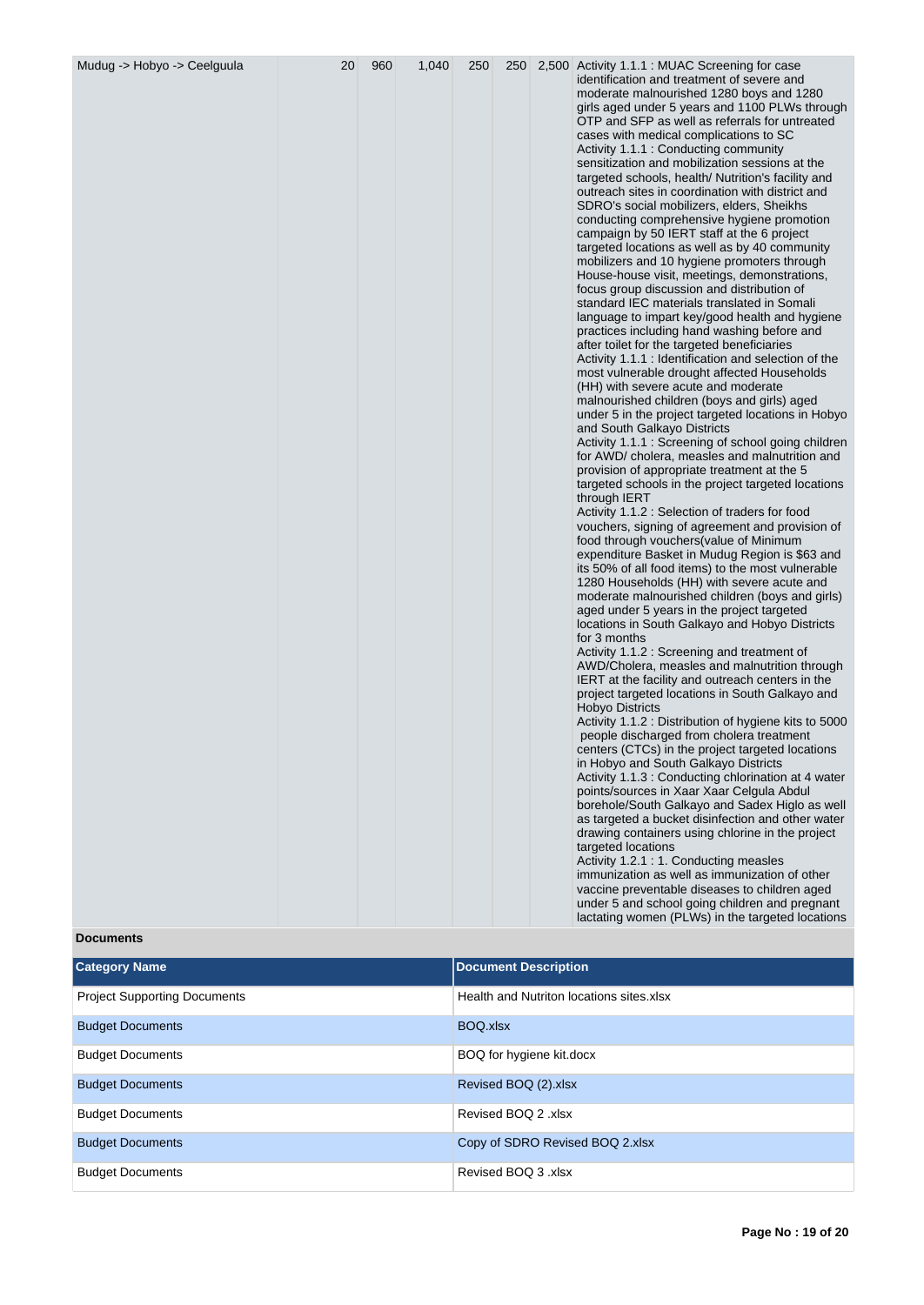| Mudug -> Hobyo -> Ceelguula | 20 | 960 | 1,040 | 250 | 250 |  | 2,500 Activity 1.1.1 : MUAC Screening for case<br>identification and treatment of severe and<br>moderate malnourished 1280 boys and 1280<br>girls aged under 5 years and 1100 PLWs through<br>OTP and SFP as well as referrals for untreated<br>cases with medical complications to SC<br>Activity 1.1.1 : Conducting community<br>sensitization and mobilization sessions at the<br>targeted schools, health/ Nutrition's facility and<br>outreach sites in coordination with district and<br>SDRO's social mobilizers, elders, Sheikhs<br>conducting comprehensive hygiene promotion<br>campaign by 50 IERT staff at the 6 project<br>targeted locations as well as by 40 community<br>mobilizers and 10 hygiene promoters through<br>House-house visit, meetings, demonstrations,<br>focus group discussion and distribution of<br>standard IEC materials translated in Somali<br>language to impart key/good health and hygiene<br>practices including hand washing before and<br>after toilet for the targeted beneficiaries<br>Activity 1.1.1 : Identification and selection of the<br>most vulnerable drought affected Households<br>(HH) with severe acute and moderate<br>malnourished children (boys and girls) aged<br>under 5 in the project targeted locations in Hobyo<br>and South Galkayo Districts<br>Activity 1.1.1: Screening of school going children<br>for AWD/ cholera, measles and malnutrition and<br>provision of appropriate treatment at the 5<br>targeted schools in the project targeted locations<br>through IERT<br>Activity 1.1.2 : Selection of traders for food<br>vouchers, signing of agreement and provision of<br>food through vouchers (value of Minimum<br>expenditure Basket in Mudug Region is \$63 and<br>its 50% of all food items) to the most vulnerable<br>1280 Households (HH) with severe acute and<br>moderate malnourished children (boys and girls)<br>aged under 5 years in the project targeted<br>locations in South Galkayo and Hobyo Districts<br>for 3 months<br>Activity 1.1.2 : Screening and treatment of<br>AWD/Cholera, measles and malnutrition through<br>IERT at the facility and outreach centers in the<br>project targeted locations in South Galkayo and<br><b>Hobyo Districts</b><br>Activity 1.1.2 : Distribution of hygiene kits to 5000<br>people discharged from cholera treatment<br>centers (CTCs) in the project targeted locations<br>in Hobyo and South Galkayo Districts<br>Activity 1.1.3 : Conducting chlorination at 4 water<br>points/sources in Xaar Xaar Celgula Abdul<br>borehole/South Galkayo and Sadex Higlo as well<br>as targeted a bucket disinfection and other water<br>drawing containers using chlorine in the project<br>targeted locations<br>Activity 1.2.1 : 1. Conducting measles<br>immunization as well as immunization of other<br>vaccine preventable diseases to children aged<br>under 5 and school going children and pregnant<br>lactating women (PLWs) in the targeted locations |
|-----------------------------|----|-----|-------|-----|-----|--|---------------------------------------------------------------------------------------------------------------------------------------------------------------------------------------------------------------------------------------------------------------------------------------------------------------------------------------------------------------------------------------------------------------------------------------------------------------------------------------------------------------------------------------------------------------------------------------------------------------------------------------------------------------------------------------------------------------------------------------------------------------------------------------------------------------------------------------------------------------------------------------------------------------------------------------------------------------------------------------------------------------------------------------------------------------------------------------------------------------------------------------------------------------------------------------------------------------------------------------------------------------------------------------------------------------------------------------------------------------------------------------------------------------------------------------------------------------------------------------------------------------------------------------------------------------------------------------------------------------------------------------------------------------------------------------------------------------------------------------------------------------------------------------------------------------------------------------------------------------------------------------------------------------------------------------------------------------------------------------------------------------------------------------------------------------------------------------------------------------------------------------------------------------------------------------------------------------------------------------------------------------------------------------------------------------------------------------------------------------------------------------------------------------------------------------------------------------------------------------------------------------------------------------------------------------------------------------------------------------------------------------------------------------------------------------------------------------------------------------------------------------------------------------------------------------------------------------------------------------------------------------------------------------------------------------------------------------------------------------------------|
|-----------------------------|----|-----|-------|-----|-----|--|---------------------------------------------------------------------------------------------------------------------------------------------------------------------------------------------------------------------------------------------------------------------------------------------------------------------------------------------------------------------------------------------------------------------------------------------------------------------------------------------------------------------------------------------------------------------------------------------------------------------------------------------------------------------------------------------------------------------------------------------------------------------------------------------------------------------------------------------------------------------------------------------------------------------------------------------------------------------------------------------------------------------------------------------------------------------------------------------------------------------------------------------------------------------------------------------------------------------------------------------------------------------------------------------------------------------------------------------------------------------------------------------------------------------------------------------------------------------------------------------------------------------------------------------------------------------------------------------------------------------------------------------------------------------------------------------------------------------------------------------------------------------------------------------------------------------------------------------------------------------------------------------------------------------------------------------------------------------------------------------------------------------------------------------------------------------------------------------------------------------------------------------------------------------------------------------------------------------------------------------------------------------------------------------------------------------------------------------------------------------------------------------------------------------------------------------------------------------------------------------------------------------------------------------------------------------------------------------------------------------------------------------------------------------------------------------------------------------------------------------------------------------------------------------------------------------------------------------------------------------------------------------------------------------------------------------------------------------------------------------------|

# **Documents**

| <b>Category Name</b>                | <b>Document Description</b>              |
|-------------------------------------|------------------------------------------|
| <b>Project Supporting Documents</b> | Health and Nutriton locations sites xlsx |
| <b>Budget Documents</b>             | BOQ.xlsx                                 |
| <b>Budget Documents</b>             | BOQ for hygiene kit.docx                 |
| <b>Budget Documents</b>             | Revised BOQ (2).xlsx                     |
| <b>Budget Documents</b>             | Revised BOQ 2 .xlsx                      |
| <b>Budget Documents</b>             | Copy of SDRO Revised BOQ 2.xlsx          |
| <b>Budget Documents</b>             | Revised BOQ 3.xlsx                       |